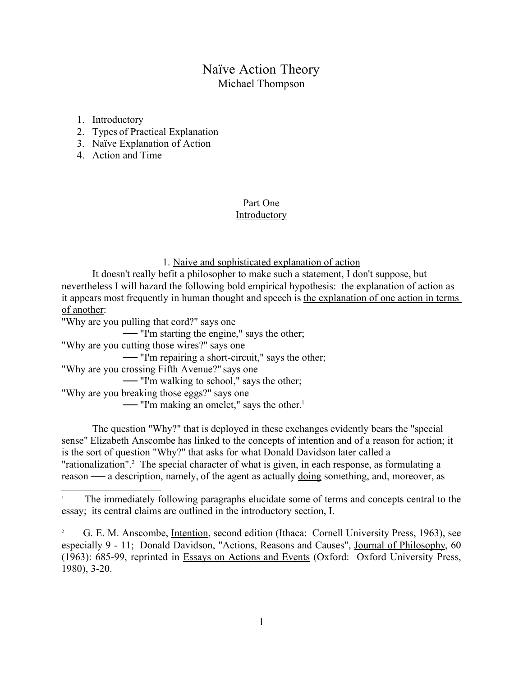# Naïve Action Theory Michael Thompson

1. Introductory

- 2. Types of Practical Explanation
- 3. Naïve Explanation of Action
- 4. Action and Time

### Part One Introductory

# 1. Naive and sophisticated explanation of action

It doesn't really befit a philosopher to make such a statement, I don't suppose, but nevertheless I will hazard the following bold empirical hypothesis: the explanation of action as it appears most frequently in human thought and speech is the explanation of one action in terms of another:

"Why are you pulling that cord?" says one

── "I'm starting the engine," says the other;

"Why are you cutting those wires?" says one

── "I'm repairing a short-circuit," says the other;

"Why are you crossing Fifth Avenue?" says one

── "I'm walking to school," says the other;

"Why are you breaking those eggs?" says one

— "I'm making an omelet," says the other.<sup>[1](#page-0-0)</sup>

The question "Why?" that is deployed in these exchanges evidently bears the "special sense" Elizabeth Anscombe has linked to the concepts of intention and of a reason for action; it is the sort of question "Why?" that asks for what Donald Davidson later called a "rationalization".<sup>[2](#page-0-1)</sup> The special character of what is given, in each response, as formulating a reason — a description, namely, of the agent as actually doing something, and, moreover, as

<span id="page-0-0"></span><sup>1</sup> The immediately following paragraphs elucidate some of terms and concepts central to the essay; its central claims are outlined in the introductory section, I.

<span id="page-0-1"></span><sup>&</sup>lt;sup>2</sup> G. E. M. Anscombe, Intention, second edition (Ithaca: Cornell University Press, 1963), see especially 9 - 11; Donald Davidson, "Actions, Reasons and Causes", Journal of Philosophy, 60 (1963): 685-99, reprinted in Essays on Actions and Events (Oxford: Oxford University Press, 1980), 3-20.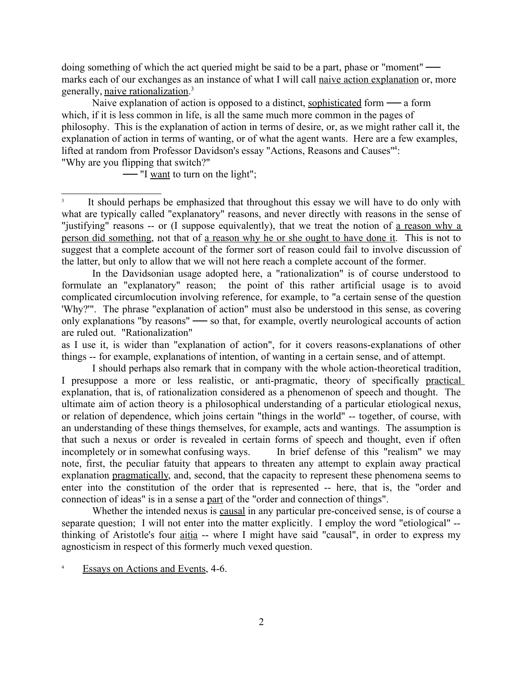doing something of which the act queried might be said to be a part, phase or "moment" marks each of our exchanges as an instance of what I will call naive action explanation or, more generally, naive rationalization.<sup>[3](#page-1-0)</sup>

Naive explanation of action is opposed to a distinct, sophisticated form — a form which, if it is less common in life, is all the same much more common in the pages of philosophy. This is the explanation of action in terms of desire, or, as we might rather call it, the explanation of action in terms of wanting, or of what the agent wants. Here are a few examples, lifted at random from Professor Davidson's essay "Actions, Reasons and Causes"<sup>[4](#page-1-1)</sup>: "Why are you flipping that switch?"

—— "I want to turn on the light";

<span id="page-1-0"></span>3 It should perhaps be emphasized that throughout this essay we will have to do only with what are typically called "explanatory" reasons, and never directly with reasons in the sense of "justifying" reasons -- or (I suppose equivalently), that we treat the notion of a reason why a person did something, not that of a reason why he or she ought to have done it. This is not to suggest that a complete account of the former sort of reason could fail to involve discussion of

the latter, but only to allow that we will not here reach a complete account of the former.

In the Davidsonian usage adopted here, a "rationalization" is of course understood to formulate an "explanatory" reason; the point of this rather artificial usage is to avoid complicated circumlocution involving reference, for example, to "a certain sense of the question 'Why?'". The phrase "explanation of action" must also be understood in this sense, as covering only explanations "by reasons" ── so that, for example, overtly neurological accounts of action are ruled out. "Rationalization"

as I use it, is wider than "explanation of action", for it covers reasons-explanations of other things -- for example, explanations of intention, of wanting in a certain sense, and of attempt.

I should perhaps also remark that in company with the whole action-theoretical tradition, I presuppose a more or less realistic, or anti-pragmatic, theory of specifically practical explanation, that is, of rationalization considered as a phenomenon of speech and thought. The ultimate aim of action theory is a philosophical understanding of a particular etiological nexus, or relation of dependence, which joins certain "things in the world" -- together, of course, with an understanding of these things themselves, for example, acts and wantings. The assumption is that such a nexus or order is revealed in certain forms of speech and thought, even if often incompletely or in somewhat confusing ways. In brief defense of this "realism" we may note, first, the peculiar fatuity that appears to threaten any attempt to explain away practical explanation pragmatically, and, second, that the capacity to represent these phenomena seems to enter into the constitution of the order that is represented -- here, that is, the "order and connection of ideas" is in a sense a part of the "order and connection of things".

Whether the intended nexus is causal in any particular pre-conceived sense, is of course a separate question; I will not enter into the matter explicitly. I employ the word "etiological" - thinking of Aristotle's four aitia -- where I might have said "causal", in order to express my agnosticism in respect of this formerly much vexed question.

<span id="page-1-1"></span><sup>&</sup>lt;sup>4</sup> Essays on Actions and Events, 4-6.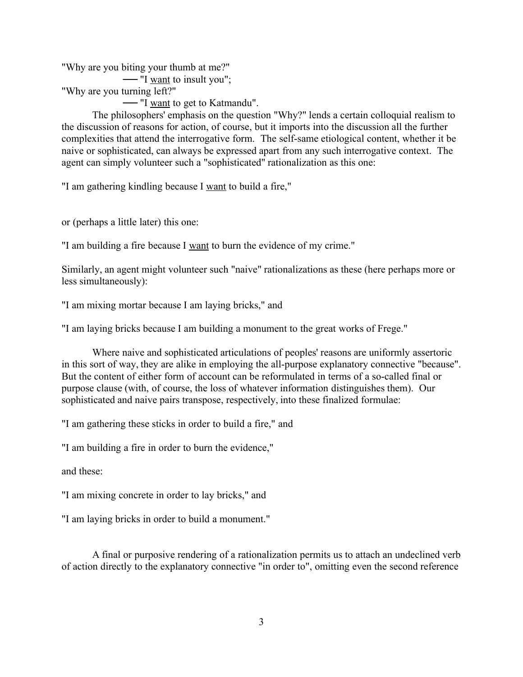"Why are you biting your thumb at me?"

── "I want to insult you";

"Why are you turning left?"

── "I want to get to Katmandu".

The philosophers' emphasis on the question "Why?" lends a certain colloquial realism to the discussion of reasons for action, of course, but it imports into the discussion all the further complexities that attend the interrogative form. The self-same etiological content, whether it be naive or sophisticated, can always be expressed apart from any such interrogative context. The agent can simply volunteer such a "sophisticated" rationalization as this one:

"I am gathering kindling because I want to build a fire,"

or (perhaps a little later) this one:

"I am building a fire because I want to burn the evidence of my crime."

Similarly, an agent might volunteer such "naive" rationalizations as these (here perhaps more or less simultaneously):

"I am mixing mortar because I am laying bricks," and

"I am laying bricks because I am building a monument to the great works of Frege."

Where naive and sophisticated articulations of peoples' reasons are uniformly assertoric in this sort of way, they are alike in employing the all-purpose explanatory connective "because". But the content of either form of account can be reformulated in terms of a so-called final or purpose clause (with, of course, the loss of whatever information distinguishes them). Our sophisticated and naive pairs transpose, respectively, into these finalized formulae:

"I am gathering these sticks in order to build a fire," and

"I am building a fire in order to burn the evidence,"

and these:

"I am mixing concrete in order to lay bricks," and

"I am laying bricks in order to build a monument."

A final or purposive rendering of a rationalization permits us to attach an undeclined verb of action directly to the explanatory connective "in order to", omitting even the second reference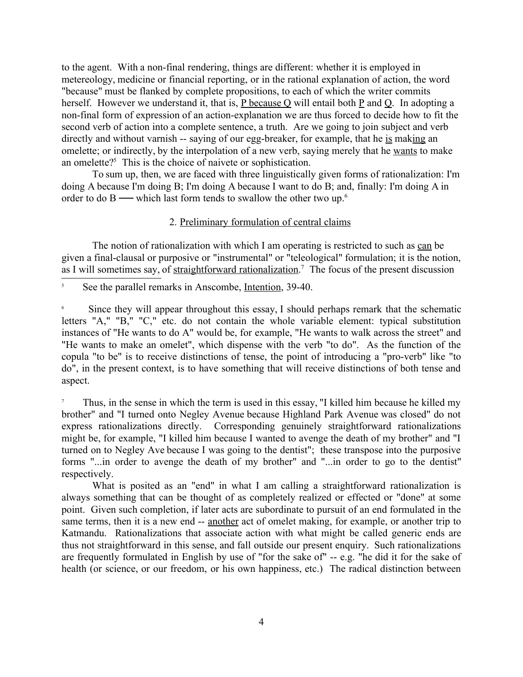to the agent. With a non-final rendering, things are different: whether it is employed in metereology, medicine or financial reporting, or in the rational explanation of action, the word "because" must be flanked by complete propositions, to each of which the writer commits herself. However we understand it, that is,  $P$  because  $Q$  will entail both  $P$  and  $Q$ . In adopting a non-final form of expression of an action-explanation we are thus forced to decide how to fit the second verb of action into a complete sentence, a truth. Are we going to join subject and verb directly and without varnish -- saying of our egg-breaker, for example, that he is making an omelette; or indirectly, by the interpolation of a new verb, saying merely that he wants to make an omelette?[5](#page-3-0) This is the choice of naivete or sophistication.

To sum up, then, we are faced with three linguistically given forms of rationalization: I'm doing A because I'm doing B; I'm doing A because I want to do B; and, finally: I'm doing A in order to do B — which last form tends to swallow the other two up.<sup>[6](#page-3-1)</sup>

# 2. Preliminary formulation of central claims

The notion of rationalization with which I am operating is restricted to such as can be given a final-clausal or purposive or "instrumental" or "teleological" formulation; it is the notion, as I will sometimes say, of straightforward rationalization.<sup>[7](#page-3-2)</sup> The focus of the present discussion

# <span id="page-3-0"></span><sup>5</sup> See the parallel remarks in Anscombe, Intention, 39-40.

<span id="page-3-1"></span>Since they will appear throughout this essay, I should perhaps remark that the schematic letters "A," "B," "C," etc. do not contain the whole variable element: typical substitution instances of "He wants to do A" would be, for example, "He wants to walk across the street" and "He wants to make an omelet", which dispense with the verb "to do". As the function of the copula "to be" is to receive distinctions of tense, the point of introducing a "pro-verb" like "to do", in the present context, is to have something that will receive distinctions of both tense and aspect.

<span id="page-3-2"></span><sup>7</sup> Thus, in the sense in which the term is used in this essay, "I killed him because he killed my brother" and "I turned onto Negley Avenue because Highland Park Avenue was closed" do not express rationalizations directly. Corresponding genuinely straightforward rationalizations might be, for example, "I killed him because I wanted to avenge the death of my brother" and "I turned on to Negley Ave because I was going to the dentist"; these transpose into the purposive forms "...in order to avenge the death of my brother" and "...in order to go to the dentist" respectively.

What is posited as an "end" in what I am calling a straightforward rationalization is always something that can be thought of as completely realized or effected or "done" at some point. Given such completion, if later acts are subordinate to pursuit of an end formulated in the same terms, then it is a new end -- another act of omelet making, for example, or another trip to Katmandu. Rationalizations that associate action with what might be called generic ends are thus not straightforward in this sense, and fall outside our present enquiry. Such rationalizations are frequently formulated in English by use of "for the sake of" -- e.g. "he did it for the sake of health (or science, or our freedom, or his own happiness, etc.) The radical distinction between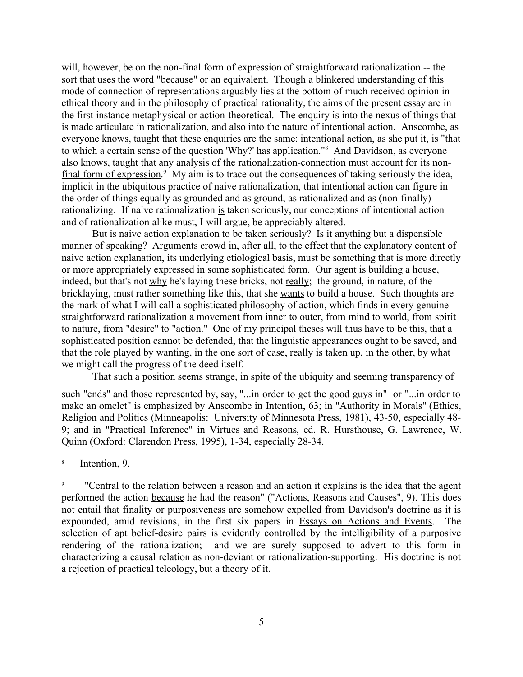will, however, be on the non-final form of expression of straightforward rationalization -- the sort that uses the word "because" or an equivalent. Though a blinkered understanding of this mode of connection of representations arguably lies at the bottom of much received opinion in ethical theory and in the philosophy of practical rationality, the aims of the present essay are in the first instance metaphysical or action-theoretical. The enquiry is into the nexus of things that is made articulate in rationalization, and also into the nature of intentional action. Anscombe, as everyone knows, taught that these enquiries are the same: intentional action, as she put it, is "that to which a certain sense of the question 'Why?' has application."[8](#page-4-0) And Davidson, as everyone also knows, taught that any analysis of the rationalization-connection must account for its non-final form of expression.<sup>[9](#page-4-1)</sup> My aim is to trace out the consequences of taking seriously the idea, implicit in the ubiquitous practice of naive rationalization, that intentional action can figure in the order of things equally as grounded and as ground, as rationalized and as (non-finally) rationalizing. If naive rationalization is taken seriously, our conceptions of intentional action and of rationalization alike must, I will argue, be appreciably altered.

But is naive action explanation to be taken seriously? Is it anything but a dispensible manner of speaking? Arguments crowd in, after all, to the effect that the explanatory content of naive action explanation, its underlying etiological basis, must be something that is more directly or more appropriately expressed in some sophisticated form. Our agent is building a house, indeed, but that's not why he's laying these bricks, not really; the ground, in nature, of the bricklaying, must rather something like this, that she wants to build a house. Such thoughts are the mark of what I will call a sophisticated philosophy of action, which finds in every genuine straightforward rationalization a movement from inner to outer, from mind to world, from spirit to nature, from "desire" to "action." One of my principal theses will thus have to be this, that a sophisticated position cannot be defended, that the linguistic appearances ought to be saved, and that the role played by wanting, in the one sort of case, really is taken up, in the other, by what we might call the progress of the deed itself.

That such a position seems strange, in spite of the ubiquity and seeming transparency of

such "ends" and those represented by, say, "...in order to get the good guys in" or "...in order to make an omelet" is emphasized by Anscombe in Intention, 63; in "Authority in Morals" (Ethics, Religion and Politics (Minneapolis: University of Minnesota Press, 1981), 43-50, especially 48- 9; and in "Practical Inference" in Virtues and Reasons, ed. R. Hursthouse, G. Lawrence, W. Quinn (Oxford: Clarendon Press, 1995), 1-34, especially 28-34.

<span id="page-4-0"></span>8 Intention, 9.

<span id="page-4-1"></span>9 "Central to the relation between a reason and an action it explains is the idea that the agent performed the action because he had the reason" ("Actions, Reasons and Causes", 9). This does not entail that finality or purposiveness are somehow expelled from Davidson's doctrine as it is expounded, amid revisions, in the first six papers in Essays on Actions and Events. selection of apt belief-desire pairs is evidently controlled by the intelligibility of a purposive rendering of the rationalization; and we are surely supposed to advert to this form in characterizing a causal relation as non-deviant or rationalization-supporting. His doctrine is not a rejection of practical teleology, but a theory of it.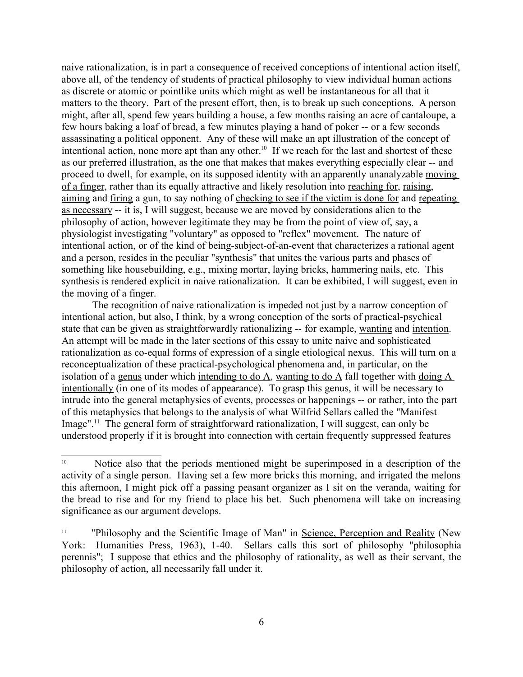naive rationalization, is in part a consequence of received conceptions of intentional action itself, above all, of the tendency of students of practical philosophy to view individual human actions as discrete or atomic or pointlike units which might as well be instantaneous for all that it matters to the theory. Part of the present effort, then, is to break up such conceptions. A person might, after all, spend few years building a house, a few months raising an acre of cantaloupe, a few hours baking a loaf of bread, a few minutes playing a hand of poker -- or a few seconds assassinating a political opponent. Any of these will make an apt illustration of the concept of intentional action, none more apt than any other.<sup>[10](#page-5-0)</sup> If we reach for the last and shortest of these as our preferred illustration, as the one that makes that makes everything especially clear -- and proceed to dwell, for example, on its supposed identity with an apparently unanalyzable moving of a finger, rather than its equally attractive and likely resolution into reaching for, raising, aiming and firing a gun, to say nothing of checking to see if the victim is done for and repeating as necessary -- it is, I will suggest, because we are moved by considerations alien to the philosophy of action, however legitimate they may be from the point of view of, say, a physiologist investigating "voluntary" as opposed to "reflex" movement. The nature of intentional action, or of the kind of being-subject-of-an-event that characterizes a rational agent and a person, resides in the peculiar "synthesis" that unites the various parts and phases of something like housebuilding, e.g., mixing mortar, laying bricks, hammering nails, etc. This synthesis is rendered explicit in naive rationalization. It can be exhibited, I will suggest, even in the moving of a finger.

The recognition of naive rationalization is impeded not just by a narrow conception of intentional action, but also, I think, by a wrong conception of the sorts of practical-psychical state that can be given as straightforwardly rationalizing -- for example, wanting and intention. An attempt will be made in the later sections of this essay to unite naive and sophisticated rationalization as co-equal forms of expression of a single etiological nexus. This will turn on a reconceptualization of these practical-psychological phenomena and, in particular, on the isolation of a genus under which intending to do A, wanting to do A fall together with doing  $A$ intentionally (in one of its modes of appearance). To grasp this genus, it will be necessary to intrude into the general metaphysics of events, processes or happenings -- or rather, into the part of this metaphysics that belongs to the analysis of what Wilfrid Sellars called the "Manifest Image".<sup>[11](#page-5-1)</sup> The general form of straightforward rationalization, I will suggest, can only be understood properly if it is brought into connection with certain frequently suppressed features

<span id="page-5-0"></span><sup>&</sup>lt;sup>10</sup> Notice also that the periods mentioned might be superimposed in a description of the activity of a single person. Having set a few more bricks this morning, and irrigated the melons this afternoon, I might pick off a passing peasant organizer as I sit on the veranda, waiting for the bread to rise and for my friend to place his bet. Such phenomena will take on increasing significance as our argument develops.

<span id="page-5-1"></span><sup>&</sup>lt;sup>11</sup> "Philosophy and the Scientific Image of Man" in Science, Perception and Reality (New York: Humanities Press, 1963), 1-40. Sellars calls this sort of philosophy "philosophia perennis"; I suppose that ethics and the philosophy of rationality, as well as their servant, the philosophy of action, all necessarily fall under it.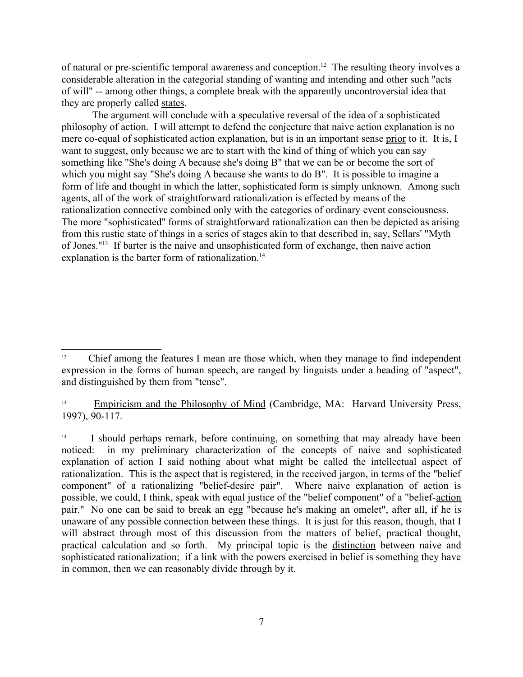of natural or pre-scientific temporal awareness and conception.<sup>[12](#page-6-0)</sup> The resulting theory involves a considerable alteration in the categorial standing of wanting and intending and other such "acts of will" -- among other things, a complete break with the apparently uncontroversial idea that they are properly called states.

The argument will conclude with a speculative reversal of the idea of a sophisticated philosophy of action. I will attempt to defend the conjecture that naive action explanation is no mere co-equal of sophisticated action explanation, but is in an important sense prior to it. It is, I want to suggest, only because we are to start with the kind of thing of which you can say something like "She's doing A because she's doing B" that we can be or become the sort of which you might say "She's doing A because she wants to do B". It is possible to imagine a form of life and thought in which the latter, sophisticated form is simply unknown. Among such agents, all of the work of straightforward rationalization is effected by means of the rationalization connective combined only with the categories of ordinary event consciousness. The more "sophisticated" forms of straightforward rationalization can then be depicted as arising from this rustic state of things in a series of stages akin to that described in, say, Sellars' "Myth of Jones."[13](#page-6-1) If barter is the naive and unsophisticated form of exchange, then naive action explanation is the barter form of rationalization.<sup>[14](#page-6-2)</sup>

<span id="page-6-0"></span><sup>12</sup> Chief among the features I mean are those which, when they manage to find independent expression in the forms of human speech, are ranged by linguists under a heading of "aspect", and distinguished by them from "tense".

<span id="page-6-1"></span><sup>&</sup>lt;sup>13</sup> Empiricism and the Philosophy of Mind (Cambridge, MA: Harvard University Press, 1997), 90-117.

<span id="page-6-2"></span><sup>&</sup>lt;sup>14</sup> I should perhaps remark, before continuing, on something that may already have been noticed: in my preliminary characterization of the concepts of naive and sophisticated explanation of action I said nothing about what might be called the intellectual aspect of rationalization. This is the aspect that is registered, in the received jargon, in terms of the "belief component" of a rationalizing "belief-desire pair". Where naive explanation of action is possible, we could, I think, speak with equal justice of the "belief component" of a "belief-action pair." No one can be said to break an egg "because he's making an omelet", after all, if he is unaware of any possible connection between these things. It is just for this reason, though, that I will abstract through most of this discussion from the matters of belief, practical thought, practical calculation and so forth. My principal topic is the distinction between naive and sophisticated rationalization; if a link with the powers exercised in belief is something they have in common, then we can reasonably divide through by it.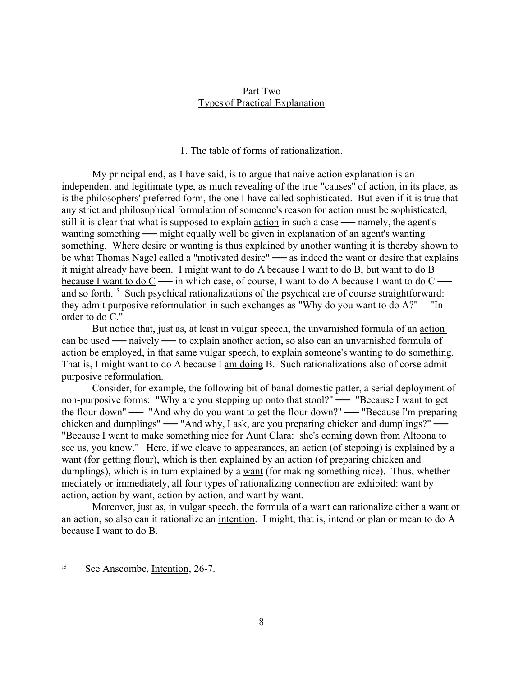# Part Two Types of Practical Explanation

## 1. The table of forms of rationalization.

My principal end, as I have said, is to argue that naive action explanation is an independent and legitimate type, as much revealing of the true "causes" of action, in its place, as is the philosophers' preferred form, the one I have called sophisticated. But even if it is true that any strict and philosophical formulation of someone's reason for action must be sophisticated, still it is clear that what is supposed to explain action in such a case — namely, the agent's wanting something — might equally well be given in explanation of an agent's wanting something. Where desire or wanting is thus explained by another wanting it is thereby shown to be what Thomas Nagel called a "motivated desire" — as indeed the want or desire that explains it might already have been. I might want to do A because I want to do B, but want to do B because I want to do  $C \rightarrow$  in which case, of course, I want to do A because I want to do  $C \rightarrow$ and so forth.<sup>[15](#page-7-0)</sup> Such psychical rationalizations of the psychical are of course straightforward: they admit purposive reformulation in such exchanges as "Why do you want to do A?" -- "In order to do C."

But notice that, just as, at least in vulgar speech, the unvarnished formula of an action can be used — naively — to explain another action, so also can an unvarnished formula of action be employed, in that same vulgar speech, to explain someone's wanting to do something. That is, I might want to do A because I am doing B. Such rationalizations also of corse admit purposive reformulation.

Consider, for example, the following bit of banal domestic patter, a serial deployment of non-purposive forms: "Why are you stepping up onto that stool?" — "Because I want to get the flour down" — "And why do you want to get the flour down?" — "Because I'm preparing chicken and dumplings" — "And why, I ask, are you preparing chicken and dumplings?" -"Because I want to make something nice for Aunt Clara: she's coming down from Altoona to see us, you know." Here, if we cleave to appearances, an action (of stepping) is explained by a want (for getting flour), which is then explained by an action (of preparing chicken and dumplings), which is in turn explained by a want (for making something nice). Thus, whether mediately or immediately, all four types of rationalizing connection are exhibited: want by action, action by want, action by action, and want by want.

Moreover, just as, in vulgar speech, the formula of a want can rationalize either a want or an action, so also can it rationalize an intention. I might, that is, intend or plan or mean to do A because I want to do B.

<span id="page-7-0"></span><sup>&</sup>lt;sup>15</sup> See Anscombe, <u>Intention</u>, 26-7.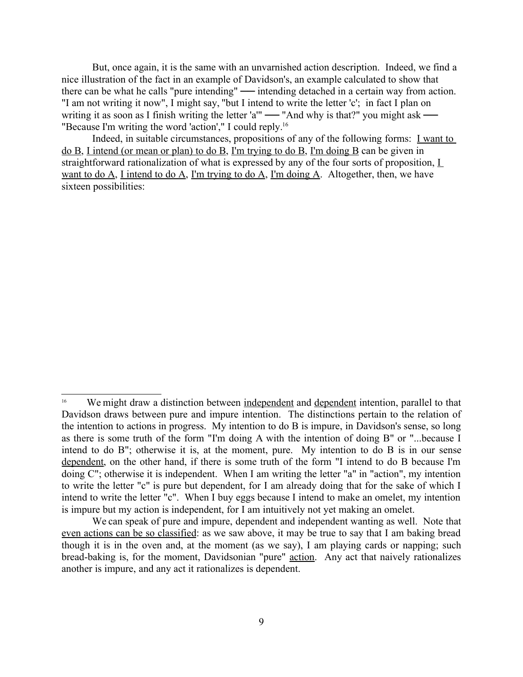But, once again, it is the same with an unvarnished action description. Indeed, we find a nice illustration of the fact in an example of Davidson's, an example calculated to show that there can be what he calls "pure intending" — intending detached in a certain way from action. "I am not writing it now", I might say, "but I intend to write the letter 'c'; in fact I plan on writing it as soon as I finish writing the letter 'a'" — "And why is that?" you might ask — "Because I'm writing the word 'action'," I could reply.[16](#page-8-0)

Indeed, in suitable circumstances, propositions of any of the following forms: I want to  $\underline{d}$  do B, I intend (or mean or plan) to  $\underline{d}$  o B, I'm trying to  $\underline{d}$  o B, I'm doing  $\underline{B}$  can be given in straightforward rationalization of what is expressed by any of the four sorts of proposition,  $I$ want to do A, I intend to do A, I'm trying to do A, I'm doing A. Altogether, then, we have sixteen possibilities:

<span id="page-8-0"></span><sup>&</sup>lt;sup>16</sup> We might draw a distinction between independent and dependent intention, parallel to that Davidson draws between pure and impure intention. The distinctions pertain to the relation of the intention to actions in progress. My intention to do B is impure, in Davidson's sense, so long as there is some truth of the form "I'm doing A with the intention of doing B" or "...because I intend to do B"; otherwise it is, at the moment, pure. My intention to do B is in our sense dependent, on the other hand, if there is some truth of the form "I intend to do B because I'm doing C"; otherwise it is independent. When I am writing the letter "a" in "action", my intention to write the letter "c" is pure but dependent, for I am already doing that for the sake of which I intend to write the letter "c". When I buy eggs because I intend to make an omelet, my intention is impure but my action is independent, for I am intuitively not yet making an omelet.

We can speak of pure and impure, dependent and independent wanting as well. Note that even actions can be so classified: as we saw above, it may be true to say that I am baking bread though it is in the oven and, at the moment (as we say), I am playing cards or napping; such bread-baking is, for the moment, Davidsonian "pure" action. Any act that naively rationalizes another is impure, and any act it rationalizes is dependent.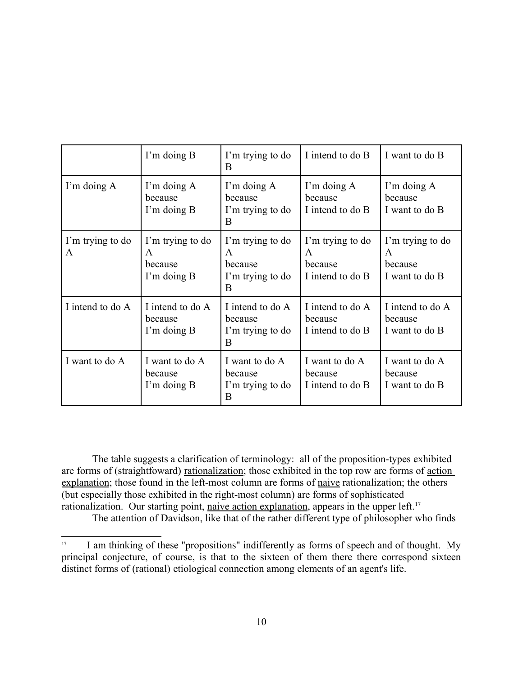|                       | I'm doing B                                     | I'm trying to do<br>B                                                | I intend to do B                                     | I want to do B                                                |
|-----------------------|-------------------------------------------------|----------------------------------------------------------------------|------------------------------------------------------|---------------------------------------------------------------|
| I'm doing A           | I'm doing A<br>because<br>I'm doing B           | I'm doing A<br>because<br>I'm trying to do<br>B                      | I'm doing A<br>because<br>I intend to do B           | I'm doing A<br>because<br>I want to do B                      |
| I'm trying to do<br>A | I'm trying to do<br>A<br>because<br>I'm doing B | I'm trying to do<br>$\mathsf{A}$<br>because<br>I'm trying to do<br>B | I'm trying to do<br>A<br>because<br>I intend to do B | I'm trying to do<br>$\mathsf{A}$<br>because<br>I want to do B |
| I intend to do A      | I intend to do A<br>because<br>I'm doing B      | I intend to do A<br>because<br>I'm trying to do<br>B                 | I intend to do A<br>because<br>I intend to do B      | I intend to do A<br>because<br>I want to do B                 |
| I want to do A        | I want to do A<br>because<br>I'm doing B        | I want to do A<br>because<br>I'm trying to do<br>B                   | I want to do A<br>because<br>I intend to do B        | I want to do A<br>because<br>I want to do B                   |

The table suggests a clarification of terminology: all of the proposition-types exhibited are forms of (straightfoward) rationalization; those exhibited in the top row are forms of action explanation; those found in the left-most column are forms of naive rationalization; the others (but especially those exhibited in the right-most column) are forms of sophisticated rationalization. Our starting point, naive action explanation, appears in the upper left.<sup>[17](#page-9-0)</sup>

The attention of Davidson, like that of the rather different type of philosopher who finds

<span id="page-9-0"></span><sup>&</sup>lt;sup>17</sup> I am thinking of these "propositions" indifferently as forms of speech and of thought. My principal conjecture, of course, is that to the sixteen of them there there correspond sixteen distinct forms of (rational) etiological connection among elements of an agent's life.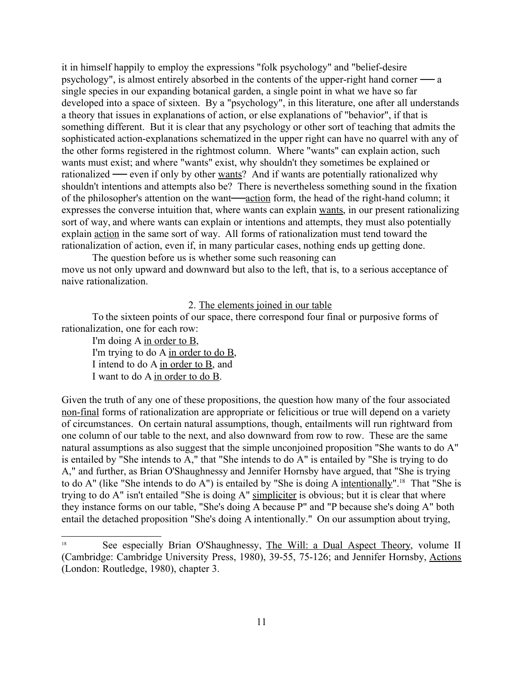it in himself happily to employ the expressions "folk psychology" and "belief-desire psychology", is almost entirely absorbed in the contents of the upper-right hand corner ── a single species in our expanding botanical garden, a single point in what we have so far developed into a space of sixteen. By a "psychology", in this literature, one after all understands a theory that issues in explanations of action, or else explanations of "behavior", if that is something different. But it is clear that any psychology or other sort of teaching that admits the sophisticated action-explanations schematized in the upper right can have no quarrel with any of the other forms registered in the rightmost column. Where "wants" can explain action, such wants must exist; and where "wants" exist, why shouldn't they sometimes be explained or rationalized — even if only by other wants? And if wants are potentially rationalized why shouldn't intentions and attempts also be? There is nevertheless something sound in the fixation of the philosopher's attention on the want—action form, the head of the right-hand column; it expresses the converse intuition that, where wants can explain wants, in our present rationalizing sort of way, and where wants can explain or intentions and attempts, they must also potentially explain action in the same sort of way. All forms of rationalization must tend toward the rationalization of action, even if, in many particular cases, nothing ends up getting done.

The question before us is whether some such reasoning can move us not only upward and downward but also to the left, that is, to a serious acceptance of naive rationalization.

#### 2. The elements joined in our table

To the sixteen points of our space, there correspond four final or purposive forms of rationalization, one for each row:

I'm doing A in order to B, I'm trying to do A in order to do B, I intend to do A in order to B, and I want to do A in order to do B.

Given the truth of any one of these propositions, the question how many of the four associated non-final forms of rationalization are appropriate or felicitious or true will depend on a variety of circumstances. On certain natural assumptions, though, entailments will run rightward from one column of our table to the next, and also downward from row to row. These are the same natural assumptions as also suggest that the simple unconjoined proposition "She wants to do A" is entailed by "She intends to A," that "She intends to do A" is entailed by "She is trying to do A," and further, as Brian O'Shaughnessy and Jennifer Hornsby have argued, that "She is trying to do A" (like "She intends to do A") is entailed by "She is doing A intentionally".[18](#page-10-0) That "She is trying to do A" isn't entailed "She is doing A" simpliciter is obvious; but it is clear that where they instance forms on our table, "She's doing A because P" and "P because she's doing A" both entail the detached proposition "She's doing A intentionally." On our assumption about trying,

<span id="page-10-0"></span><sup>&</sup>lt;sup>18</sup> See especially Brian O'Shaughnessy, The Will: a Dual Aspect Theory, volume II (Cambridge: Cambridge University Press, 1980), 39-55, 75-126; and Jennifer Hornsby, Actions (London: Routledge, 1980), chapter 3.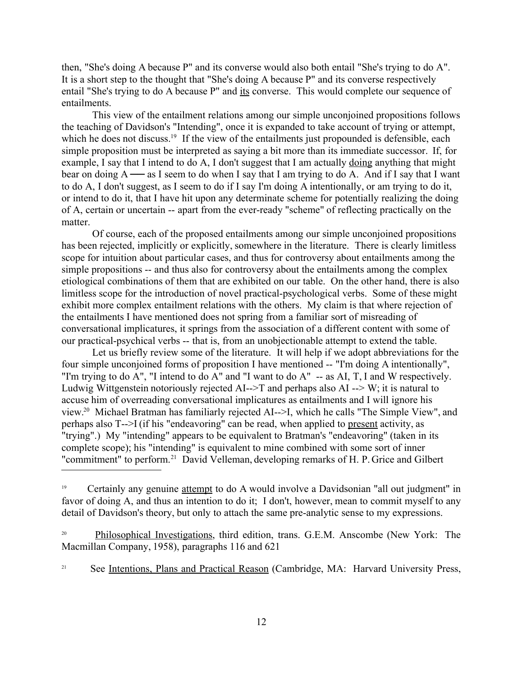then, "She's doing A because P" and its converse would also both entail "She's trying to do A". It is a short step to the thought that "She's doing A because P" and its converse respectively entail "She's trying to do A because P" and its converse. This would complete our sequence of entailments.

This view of the entailment relations among our simple unconjoined propositions follows the teaching of Davidson's "Intending", once it is expanded to take account of trying or attempt, which he does not discuss.<sup>[19](#page-11-0)</sup> If the view of the entailments just propounded is defensible, each simple proposition must be interpreted as saying a bit more than its immediate successor. If, for example, I say that I intend to do A, I don't suggest that I am actually doing anything that might bear on doing  $A \rightarrow \alpha s$  I seem to do when I say that I am trying to do A. And if I say that I want to do A, I don't suggest, as I seem to do if I say I'm doing A intentionally, or am trying to do it, or intend to do it, that I have hit upon any determinate scheme for potentially realizing the doing of A, certain or uncertain -- apart from the ever-ready "scheme" of reflecting practically on the matter.

Of course, each of the proposed entailments among our simple unconjoined propositions has been rejected, implicitly or explicitly, somewhere in the literature. There is clearly limitless scope for intuition about particular cases, and thus for controversy about entailments among the simple propositions -- and thus also for controversy about the entailments among the complex etiological combinations of them that are exhibited on our table. On the other hand, there is also limitless scope for the introduction of novel practical-psychological verbs. Some of these might exhibit more complex entailment relations with the others. My claim is that where rejection of the entailments I have mentioned does not spring from a familiar sort of misreading of conversational implicatures, it springs from the association of a different content with some of our practical-psychical verbs -- that is, from an unobjectionable attempt to extend the table.

Let us briefly review some of the literature. It will help if we adopt abbreviations for the four simple unconjoined forms of proposition I have mentioned -- "I'm doing A intentionally", "I'm trying to do A", "I intend to do A" and "I want to do A" -- as AI, T, I and W respectively. Ludwig Wittgenstein notoriously rejected AI-->T and perhaps also AI --> W; it is natural to accuse him of overreading conversational implicatures as entailments and I will ignore his view.[20](#page-11-1) Michael Bratman has familiarly rejected AI-->I, which he calls "The Simple View", and perhaps also T-->I (if his "endeavoring" can be read, when applied to present activity, as "trying".) My "intending" appears to be equivalent to Bratman's "endeavoring" (taken in its complete scope); his "intending" is equivalent to mine combined with some sort of inner "commitment" to perform.[21](#page-11-2) David Velleman, developing remarks of H. P. Grice and Gilbert

<span id="page-11-0"></span><sup>&</sup>lt;sup>19</sup> Certainly any genuine attempt to do A would involve a Davidsonian "all out judgment" in favor of doing A, and thus an intention to do it; I don't, however, mean to commit myself to any detail of Davidson's theory, but only to attach the same pre-analytic sense to my expressions.

<span id="page-11-1"></span><sup>&</sup>lt;sup>20</sup> Philosophical Investigations, third edition, trans. G.E.M. Anscombe (New York: The Macmillan Company, 1958), paragraphs 116 and 621

<span id="page-11-2"></span><sup>&</sup>lt;sup>21</sup> See Intentions, Plans and Practical Reason (Cambridge, MA: Harvard University Press,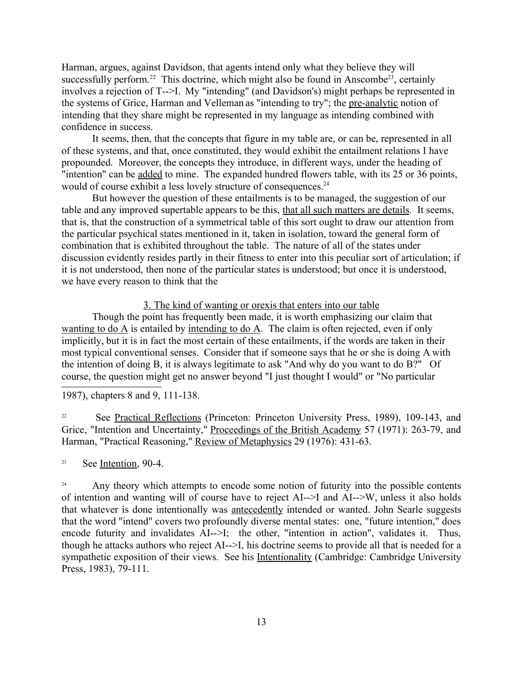Harman, argues, against Davidson, that agents intend only what they believe they will successfully perform.<sup>[22](#page-12-0)</sup> This doctrine, which might also be found in Anscombe<sup>[23](#page-12-1)</sup>, certainly involves a rejection of T-->I. My "intending" (and Davidson's) might perhaps be represented in the systems of Grice, Harman and Velleman as "intending to try"; the pre-analytic notion of intending that they share might be represented in my language as intending combined with confidence in success.

It seems, then, that the concepts that figure in my table are, or can be, represented in all of these systems, and that, once constituted, they would exhibit the entailment relations I have propounded. Moreover, the concepts they introduce, in different ways, under the heading of "intention" can be added to mine. The expanded hundred flowers table, with its 25 or 36 points, would of course exhibit a less lovely structure of consequences.<sup>[24](#page-12-2)</sup>

But however the question of these entailments is to be managed, the suggestion of our table and any improved supertable appears to be this, that all such matters are details. It seems, that is, that the construction of a symmetrical table of this sort ought to draw our attention from the particular psychical states mentioned in it, taken in isolation, toward the general form of combination that is exhibited throughout the table. The nature of all of the states under discussion evidently resides partly in their fitness to enter into this peculiar sort of articulation; if it is not understood, then none of the particular states is understood; but once it is understood, we have every reason to think that the

# 3. The kind of wanting or orexis that enters into our table

Though the point has frequently been made, it is worth emphasizing our claim that wanting to do A is entailed by intending to do A. The claim is often rejected, even if only implicitly, but it is in fact the most certain of these entailments, if the words are taken in their most typical conventional senses. Consider that if someone says that he or she is doing A with the intention of doing B, it is always legitimate to ask "And why do you want to do B?" Of course, the question might get no answer beyond "I just thought I would" or "No particular

1987), chapters 8 and 9, 111-138.

<span id="page-12-0"></span><sup>22</sup> See Practical Reflections (Princeton: Princeton University Press, 1989), 109-143, and Grice, "Intention and Uncertainty," Proceedings of the British Academy 57 (1971): 263-79, and Harman, "Practical Reasoning," Review of Metaphysics 29 (1976): 431-63.

<span id="page-12-1"></span><sup>23</sup> See Intention, 90-4.

<span id="page-12-2"></span><sup>24</sup> Any theory which attempts to encode some notion of futurity into the possible contents of intention and wanting will of course have to reject AI-->I and AI-->W, unless it also holds that whatever is done intentionally was antecedently intended or wanted. John Searle suggests that the word "intend" covers two profoundly diverse mental states: one, "future intention," does encode futurity and invalidates AI-->I; the other, "intention in action", validates it. Thus, though he attacks authors who reject AI-->I, his doctrine seems to provide all that is needed for a sympathetic exposition of their views. See his Intentionality (Cambridge: Cambridge University Press, 1983), 79-111.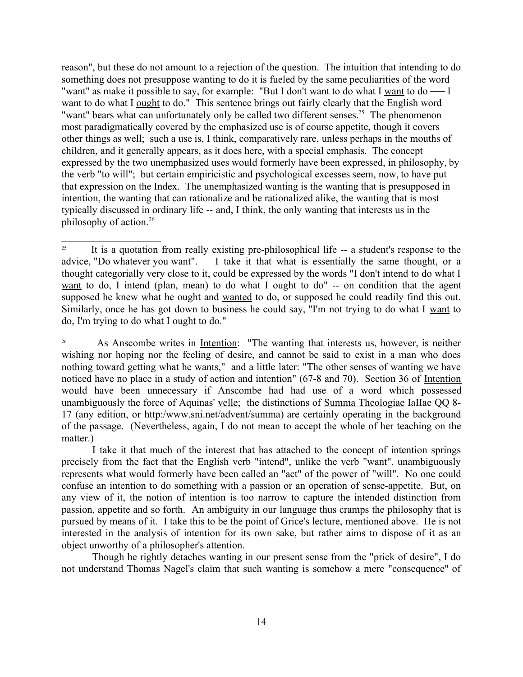reason", but these do not amount to a rejection of the question. The intuition that intending to do something does not presuppose wanting to do it is fueled by the same peculiarities of the word "want" as make it possible to say, for example: "But I don't want to do what I want to do — I want to do what I <u>ought</u> to do." This sentence brings out fairly clearly that the English word "want" bears what can unfortunately only be called two different senses.<sup>[25](#page-13-0)</sup> The phenomenon most paradigmatically covered by the emphasized use is of course appetite, though it covers other things as well; such a use is, I think, comparatively rare, unless perhaps in the mouths of children, and it generally appears, as it does here, with a special emphasis. The concept expressed by the two unemphasized uses would formerly have been expressed, in philosophy, by the verb "to will"; but certain empiricistic and psychological excesses seem, now, to have put that expression on the Index. The unemphasized wanting is the wanting that is presupposed in intention, the wanting that can rationalize and be rationalized alike, the wanting that is most typically discussed in ordinary life -- and, I think, the only wanting that interests us in the philosophy of action.[26](#page-13-1)

<span id="page-13-1"></span><sup>26</sup> As Anscombe writes in <u>Intention</u>: "The wanting that interests us, however, is neither wishing nor hoping nor the feeling of desire, and cannot be said to exist in a man who does nothing toward getting what he wants," and a little later: "The other senses of wanting we have noticed have no place in a study of action and intention" (67-8 and 70). Section 36 of Intention would have been unnecessary if Anscombe had had use of a word which possessed unambiguously the force of Aquinas' velle; the distinctions of Summa Theologiae IaIIae QQ 8- 17 (any edition, or http:/www.sni.net/advent/summa) are certainly operating in the background of the passage. (Nevertheless, again, I do not mean to accept the whole of her teaching on the matter.)

I take it that much of the interest that has attached to the concept of intention springs precisely from the fact that the English verb "intend", unlike the verb "want", unambiguously represents what would formerly have been called an "act" of the power of "will". No one could confuse an intention to do something with a passion or an operation of sense-appetite. But, on any view of it, the notion of intention is too narrow to capture the intended distinction from passion, appetite and so forth. An ambiguity in our language thus cramps the philosophy that is pursued by means of it. I take this to be the point of Grice's lecture, mentioned above. He is not interested in the analysis of intention for its own sake, but rather aims to dispose of it as an object unworthy of a philosopher's attention.

Though he rightly detaches wanting in our present sense from the "prick of desire", I do not understand Thomas Nagel's claim that such wanting is somehow a mere "consequence" of

<span id="page-13-0"></span><sup>25</sup> It is a quotation from really existing pre-philosophical life -- a student's response to the advice, "Do whatever you want". I take it that what is essentially the same thought, or a thought categorially very close to it, could be expressed by the words "I don't intend to do what I want to do, I intend (plan, mean) to do what I ought to do" -- on condition that the agent supposed he knew what he ought and wanted to do, or supposed he could readily find this out. Similarly, once he has got down to business he could say, "I'm not trying to do what I want to do, I'm trying to do what I ought to do."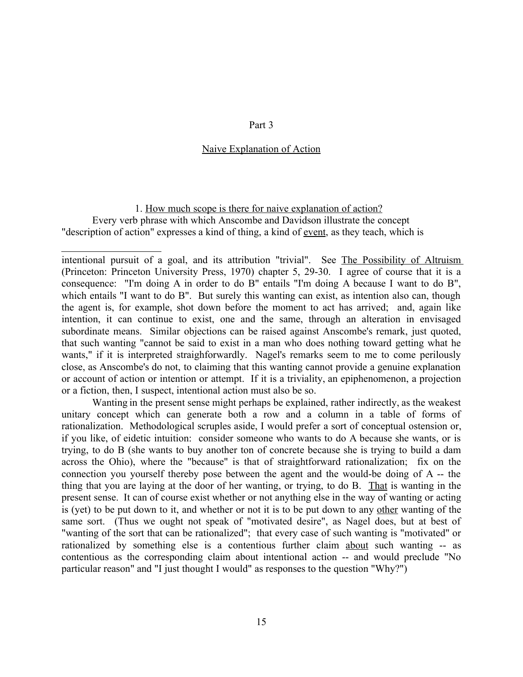#### Part 3

#### Naive Explanation of Action

1. How much scope is there for naive explanation of action? Every verb phrase with which Anscombe and Davidson illustrate the concept "description of action" expresses a kind of thing, a kind of event, as they teach, which is

intentional pursuit of a goal, and its attribution "trivial". See The Possibility of Altruism (Princeton: Princeton University Press, 1970) chapter 5, 29-30. I agree of course that it is a consequence: "I'm doing A in order to do B" entails "I'm doing A because I want to do B", which entails "I want to do B". But surely this wanting can exist, as intention also can, though the agent is, for example, shot down before the moment to act has arrived; and, again like intention, it can continue to exist, one and the same, through an alteration in envisaged subordinate means. Similar objections can be raised against Anscombe's remark, just quoted, that such wanting "cannot be said to exist in a man who does nothing toward getting what he wants," if it is interpreted straighforwardly. Nagel's remarks seem to me to come perilously close, as Anscombe's do not, to claiming that this wanting cannot provide a genuine explanation or account of action or intention or attempt. If it is a triviality, an epiphenomenon, a projection or a fiction, then, I suspect, intentional action must also be so.

Wanting in the present sense might perhaps be explained, rather indirectly, as the weakest unitary concept which can generate both a row and a column in a table of forms of rationalization. Methodological scruples aside, I would prefer a sort of conceptual ostension or, if you like, of eidetic intuition: consider someone who wants to do A because she wants, or is trying, to do B (she wants to buy another ton of concrete because she is trying to build a dam across the Ohio), where the "because" is that of straightforward rationalization; fix on the connection you yourself thereby pose between the agent and the would-be doing of A -- the thing that you are laying at the door of her wanting, or trying, to do B. That is wanting in the present sense. It can of course exist whether or not anything else in the way of wanting or acting is (yet) to be put down to it, and whether or not it is to be put down to any other wanting of the same sort. (Thus we ought not speak of "motivated desire", as Nagel does, but at best of "wanting of the sort that can be rationalized"; that every case of such wanting is "motivated" or rationalized by something else is a contentious further claim about such wanting -- as contentious as the corresponding claim about intentional action -- and would preclude "No particular reason" and "I just thought I would" as responses to the question "Why?")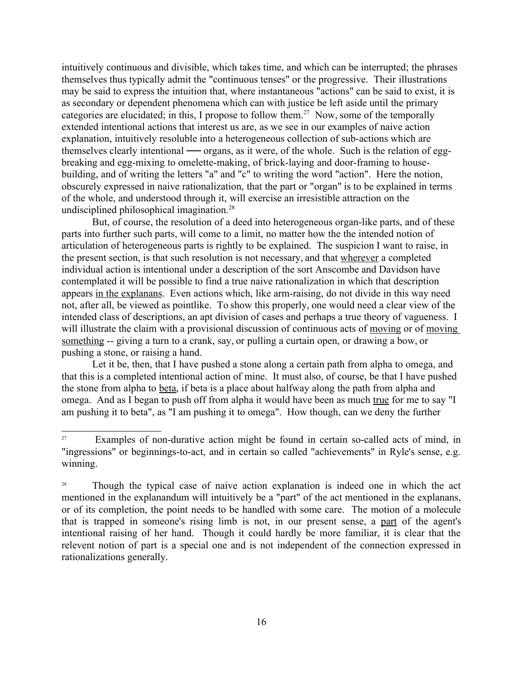intuitively continuous and divisible, which takes time, and which can be interrupted; the phrases themselves thus typically admit the "continuous tenses" or the progressive. Their illustrations may be said to express the intuition that, where instantaneous "actions" can be said to exist, it is as secondary or dependent phenomena which can with justice be left aside until the primary categories are elucidated; in this, I propose to follow them.[27](#page-15-0) Now, some of the temporally extended intentional actions that interest us are, as we see in our examples of naive action explanation, intuitively resoluble into a heterogeneous collection of sub-actions which are themselves clearly intentional — organs, as it were, of the whole. Such is the relation of eggbreaking and egg-mixing to omelette-making, of brick-laying and door-framing to housebuilding, and of writing the letters "a" and "c" to writing the word "action". Here the notion, obscurely expressed in naive rationalization, that the part or "organ" is to be explained in terms of the whole, and understood through it, will exercise an irresistible attraction on the undisciplined philosophical imagination.<sup>[28](#page-15-1)</sup>

But, of course, the resolution of a deed into heterogeneous organ-like parts, and of these parts into further such parts, will come to a limit, no matter how the the intended notion of articulation of heterogeneous parts is rightly to be explained. The suspicion I want to raise, in the present section, is that such resolution is not necessary, and that wherever a completed individual action is intentional under a description of the sort Anscombe and Davidson have contemplated it will be possible to find a true naive rationalization in which that description appears in the explanans. Even actions which, like arm-raising, do not divide in this way need not, after all, be viewed as pointlike. To show this properly, one would need a clear view of the intended class of descriptions, an apt division of cases and perhaps a true theory of vagueness. I will illustrate the claim with a provisional discussion of continuous acts of moving or of moving something -- giving a turn to a crank, say, or pulling a curtain open, or drawing a bow, or pushing a stone, or raising a hand.

Let it be, then, that I have pushed a stone along a certain path from alpha to omega, and that this is a completed intentional action of mine. It must also, of course, be that I have pushed the stone from alpha to beta, if beta is a place about halfway along the path from alpha and omega. And as I began to push off from alpha it would have been as much true for me to say "I am pushing it to beta", as "I am pushing it to omega". How though, can we deny the further

<span id="page-15-0"></span><sup>&</sup>lt;sup>27</sup> Examples of non-durative action might be found in certain so-called acts of mind, in "ingressions" or beginnings-to-act, and in certain so called "achievements" in Ryle's sense, e.g. winning.

<span id="page-15-1"></span><sup>&</sup>lt;sup>28</sup> Though the typical case of naive action explanation is indeed one in which the act mentioned in the explanandum will intuitively be a "part" of the act mentioned in the explanans, or of its completion, the point needs to be handled with some care. The motion of a molecule that is trapped in someone's rising limb is not, in our present sense, a part of the agent's intentional raising of her hand. Though it could hardly be more familiar, it is clear that the relevent notion of part is a special one and is not independent of the connection expressed in rationalizations generally.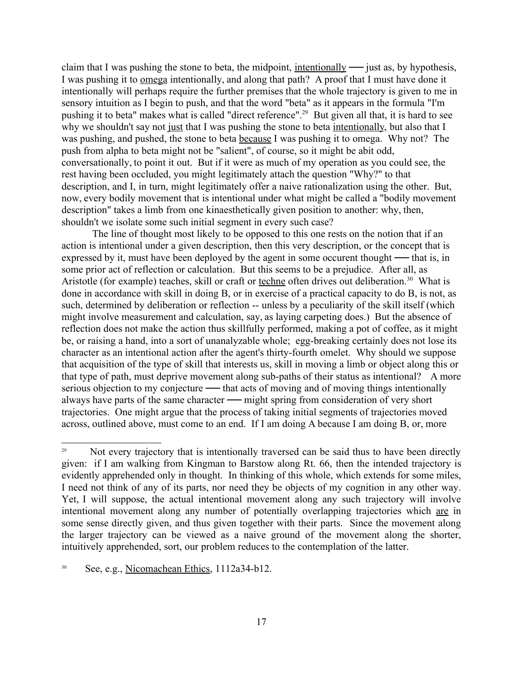claim that I was pushing the stone to beta, the midpoint, intentionally — just as, by hypothesis, I was pushing it to omega intentionally, and along that path? A proof that I must have done it intentionally will perhaps require the further premises that the whole trajectory is given to me in sensory intuition as I begin to push, and that the word "beta" as it appears in the formula "I'm pushing it to beta" makes what is called "direct reference".[29](#page-16-0) But given all that, it is hard to see why we shouldn't say not just that I was pushing the stone to beta intentionally, but also that I was pushing, and pushed, the stone to beta because I was pushing it to omega. Why not? The push from alpha to beta might not be "salient", of course, so it might be abit odd, conversationally, to point it out. But if it were as much of my operation as you could see, the rest having been occluded, you might legitimately attach the question "Why?" to that description, and I, in turn, might legitimately offer a naive rationalization using the other. But, now, every bodily movement that is intentional under what might be called a "bodily movement description" takes a limb from one kinaesthetically given position to another: why, then, shouldn't we isolate some such initial segment in every such case?

The line of thought most likely to be opposed to this one rests on the notion that if an action is intentional under a given description, then this very description, or the concept that is expressed by it, must have been deployed by the agent in some occurent thought — that is, in some prior act of reflection or calculation. But this seems to be a prejudice. After all, as Aristotle (for example) teaches, skill or craft or techne often drives out deliberation.<sup>[30](#page-16-1)</sup> What is done in accordance with skill in doing B, or in exercise of a practical capacity to do B, is not, as such, determined by deliberation or reflection -- unless by a peculiarity of the skill itself (which might involve measurement and calculation, say, as laying carpeting does.) But the absence of reflection does not make the action thus skillfully performed, making a pot of coffee, as it might be, or raising a hand, into a sort of unanalyzable whole; egg-breaking certainly does not lose its character as an intentional action after the agent's thirty-fourth omelet. Why should we suppose that acquisition of the type of skill that interests us, skill in moving a limb or object along this or that type of path, must deprive movement along sub-paths of their status as intentional? A more serious objection to my conjecture — that acts of moving and of moving things intentionally always have parts of the same character — might spring from consideration of very short trajectories. One might argue that the process of taking initial segments of trajectories moved across, outlined above, must come to an end. If I am doing A because I am doing B, or, more

<span id="page-16-0"></span><sup>&</sup>lt;sup>29</sup> Not every trajectory that is intentionally traversed can be said thus to have been directly given: if I am walking from Kingman to Barstow along Rt. 66, then the intended trajectory is evidently apprehended only in thought. In thinking of this whole, which extends for some miles, I need not think of any of its parts, nor need they be objects of my cognition in any other way. Yet, I will suppose, the actual intentional movement along any such trajectory will involve intentional movement along any number of potentially overlapping trajectories which are in some sense directly given, and thus given together with their parts. Since the movement along the larger trajectory can be viewed as a naive ground of the movement along the shorter, intuitively apprehended, sort, our problem reduces to the contemplation of the latter.

<span id="page-16-1"></span><sup>&</sup>lt;sup>30</sup> See, e.g., Nicomachean Ethics, 1112a34-b12.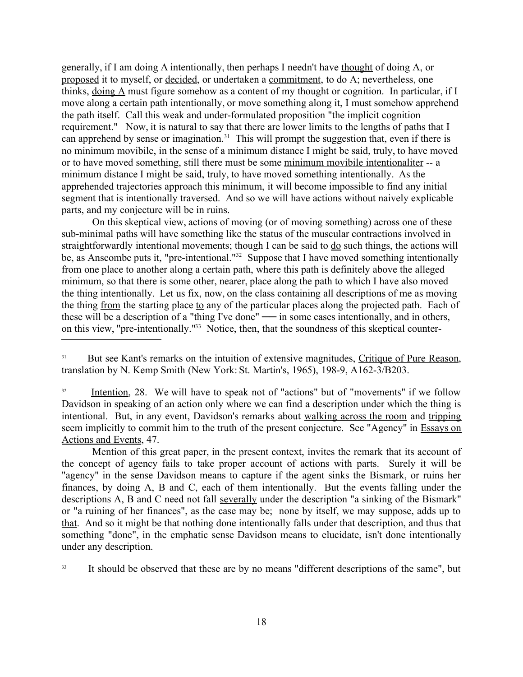generally, if I am doing A intentionally, then perhaps I needn't have thought of doing A, or proposed it to myself, or decided, or undertaken a commitment, to do A; nevertheless, one thinks, doing A must figure somehow as a content of my thought or cognition. In particular, if I move along a certain path intentionally, or move something along it, I must somehow apprehend the path itself. Call this weak and under-formulated proposition "the implicit cognition requirement." Now, it is natural to say that there are lower limits to the lengths of paths that I can apprehend by sense or imagination.<sup>[31](#page-17-0)</sup> This will prompt the suggestion that, even if there is no minimum movibile, in the sense of a minimum distance I might be said, truly, to have moved or to have moved something, still there must be some minimum movibile intentionaliter -- a minimum distance I might be said, truly, to have moved something intentionally. As the apprehended trajectories approach this minimum, it will become impossible to find any initial segment that is intentionally traversed. And so we will have actions without naively explicable parts, and my conjecture will be in ruins.

On this skeptical view, actions of moving (or of moving something) across one of these sub-minimal paths will have something like the status of the muscular contractions involved in straightforwardly intentional movements; though I can be said to do such things, the actions will be, as Anscombe puts it, "pre-intentional."<sup>[32](#page-17-1)</sup> Suppose that I have moved something intentionally from one place to another along a certain path, where this path is definitely above the alleged minimum, so that there is some other, nearer, place along the path to which I have also moved the thing intentionally. Let us fix, now, on the class containing all descriptions of me as moving the thing <u>from</u> the starting place to any of the particular places along the projected path. Each of these will be a description of a "thing I've done" — in some cases intentionally, and in others, on this view, "pre-intentionally."[33](#page-17-2) Notice, then, that the soundness of this skeptical counter-

<span id="page-17-1"></span>Intention, 28. We will have to speak not of "actions" but of "movements" if we follow Davidson in speaking of an action only where we can find a description under which the thing is intentional. But, in any event, Davidson's remarks about walking across the room and tripping seem implicitly to commit him to the truth of the present conjecture. See "Agency" in Essays on Actions and Events, 47.

Mention of this great paper, in the present context, invites the remark that its account of the concept of agency fails to take proper account of actions with parts. Surely it will be "agency" in the sense Davidson means to capture if the agent sinks the Bismark, or ruins her finances, by doing A, B and C, each of them intentionally. But the events falling under the descriptions A, B and C need not fall severally under the description "a sinking of the Bismark" or "a ruining of her finances", as the case may be; none by itself, we may suppose, adds up to that. And so it might be that nothing done intentionally falls under that description, and thus that something "done", in the emphatic sense Davidson means to elucidate, isn't done intentionally under any description.

<span id="page-17-2"></span><sup>33</sup> It should be observed that these are by no means "different descriptions of the same", but

<span id="page-17-0"></span>But see Kant's remarks on the intuition of extensive magnitudes, Critique of Pure Reason, translation by N. Kemp Smith (New York: St. Martin's, 1965), 198-9, A162-3/B203.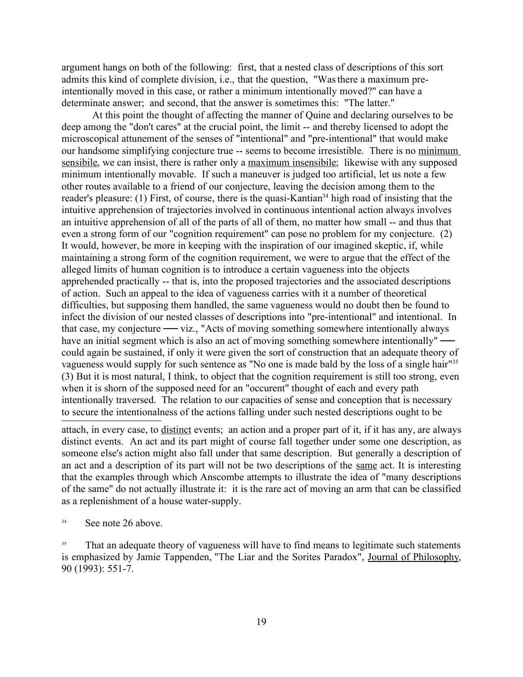argument hangs on both of the following: first, that a nested class of descriptions of this sort admits this kind of complete division, i.e., that the question, "Was there a maximum preintentionally moved in this case, or rather a minimum intentionally moved?" can have a determinate answer; and second, that the answer is sometimes this: "The latter."

At this point the thought of affecting the manner of Quine and declaring ourselves to be deep among the "don't cares" at the crucial point, the limit -- and thereby licensed to adopt the microscopical attunement of the senses of "intentional" and "pre-intentional" that would make our handsome simplifying conjecture true -- seems to become irresistible. There is no minimum sensibile, we can insist, there is rather only a maximum insensibile; likewise with any supposed minimum intentionally movable. If such a maneuver is judged too artificial, let us note a few other routes available to a friend of our conjecture, leaving the decision among them to the reader's pleasure: (1) First, of course, there is the quasi-Kantian<sup>[34](#page-18-0)</sup> high road of insisting that the intuitive apprehension of trajectories involved in continuous intentional action always involves an intuitive apprehension of all of the parts of all of them, no matter how small -- and thus that even a strong form of our "cognition requirement" can pose no problem for my conjecture. (2) It would, however, be more in keeping with the inspiration of our imagined skeptic, if, while maintaining a strong form of the cognition requirement, we were to argue that the effect of the alleged limits of human cognition is to introduce a certain vagueness into the objects apprehended practically -- that is, into the proposed trajectories and the associated descriptions of action. Such an appeal to the idea of vagueness carries with it a number of theoretical difficulties, but supposing them handled, the same vagueness would no doubt then be found to infect the division of our nested classes of descriptions into "pre-intentional" and intentional. In that case, my conjecture — viz., "Acts of moving something somewhere intentionally always have an initial segment which is also an act of moving something somewhere intentionally" could again be sustained, if only it were given the sort of construction that an adequate theory of vagueness would supply for such sentence as "No one is made bald by the loss of a single hair"[35](#page-18-1) (3) But it is most natural, I think, to object that the cognition requirement is still too strong, even when it is shorn of the supposed need for an "occurent" thought of each and every path intentionally traversed. The relation to our capacities of sense and conception that is necessary to secure the intentionalness of the actions falling under such nested descriptions ought to be

attach, in every case, to distinct events; an action and a proper part of it, if it has any, are always distinct events. An act and its part might of course fall together under some one description, as someone else's action might also fall under that same description. But generally a description of an act and a description of its part will not be two descriptions of the same act. It is interesting that the examples through which Anscombe attempts to illustrate the idea of "many descriptions of the same" do not actually illustrate it: it is the rare act of moving an arm that can be classified as a replenishment of a house water-supply.

<span id="page-18-0"></span><sup>34</sup> See note 26 above.

<span id="page-18-1"></span><sup>35</sup> That an adequate theory of vagueness will have to find means to legitimate such statements is emphasized by Jamie Tappenden, "The Liar and the Sorites Paradox", Journal of Philosophy, 90 (1993): 551-7.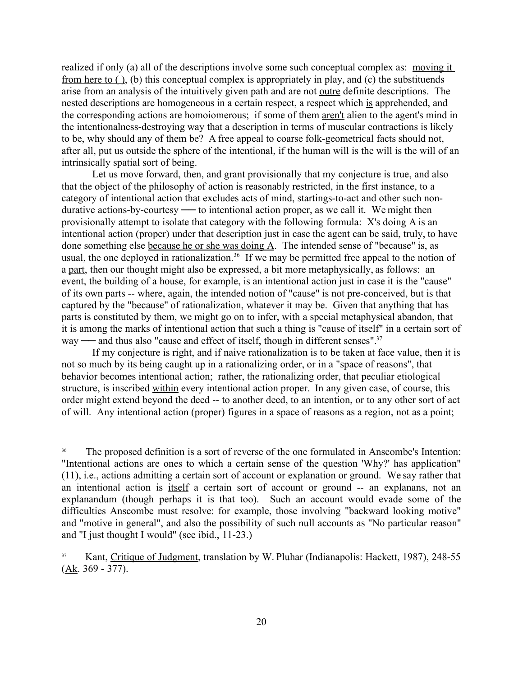realized if only (a) all of the descriptions involve some such conceptual complex as: moving it from here to ( ), (b) this conceptual complex is appropriately in play, and (c) the substituends arise from an analysis of the intuitively given path and are not outre definite descriptions. The nested descriptions are homogeneous in a certain respect, a respect which is apprehended, and the corresponding actions are homoiomerous; if some of them aren't alien to the agent's mind in the intentionalness-destroying way that a description in terms of muscular contractions is likely to be, why should any of them be? A free appeal to coarse folk-geometrical facts should not, after all, put us outside the sphere of the intentional, if the human will is the will is the will of an intrinsically spatial sort of being.

Let us move forward, then, and grant provisionally that my conjecture is true, and also that the object of the philosophy of action is reasonably restricted, in the first instance, to a category of intentional action that excludes acts of mind, startings-to-act and other such nondurative actions-by-courtesy — to intentional action proper, as we call it. We might then provisionally attempt to isolate that category with the following formula: X's doing A is an intentional action (proper) under that description just in case the agent can be said, truly, to have done something else because he or she was doing A. The intended sense of "because" is, as usual, the one deployed in rationalization.<sup>[36](#page-19-0)</sup> If we may be permitted free appeal to the notion of a part, then our thought might also be expressed, a bit more metaphysically, as follows: an event, the building of a house, for example, is an intentional action just in case it is the "cause" of its own parts -- where, again, the intended notion of "cause" is not pre-conceived, but is that captured by the "because" of rationalization, whatever it may be. Given that anything that has parts is constituted by them, we might go on to infer, with a special metaphysical abandon, that it is among the marks of intentional action that such a thing is "cause of itself" in a certain sort of way — and thus also "cause and effect of itself, though in different senses".<sup>[37](#page-19-1)</sup>

If my conjecture is right, and if naive rationalization is to be taken at face value, then it is not so much by its being caught up in a rationalizing order, or in a "space of reasons", that behavior becomes intentional action; rather, the rationalizing order, that peculiar etiological structure, is inscribed within every intentional action proper. In any given case, of course, this order might extend beyond the deed -- to another deed, to an intention, or to any other sort of act of will. Any intentional action (proper) figures in a space of reasons as a region, not as a point;

<span id="page-19-0"></span><sup>&</sup>lt;sup>36</sup> The proposed definition is a sort of reverse of the one formulated in Anscombe's Intention: "Intentional actions are ones to which a certain sense of the question 'Why?' has application" (11), i.e., actions admitting a certain sort of account or explanation or ground. We say rather that an intentional action is itself a certain sort of account or ground -- an explanans, not an explanandum (though perhaps it is that too). Such an account would evade some of the difficulties Anscombe must resolve: for example, those involving "backward looking motive" and "motive in general", and also the possibility of such null accounts as "No particular reason" and "I just thought I would" (see ibid., 11-23.)

<span id="page-19-1"></span><sup>37</sup> Kant, Critique of Judgment, translation by W. Pluhar (Indianapolis: Hackett, 1987), 248-55  $(Ak. 369 - 377)$ .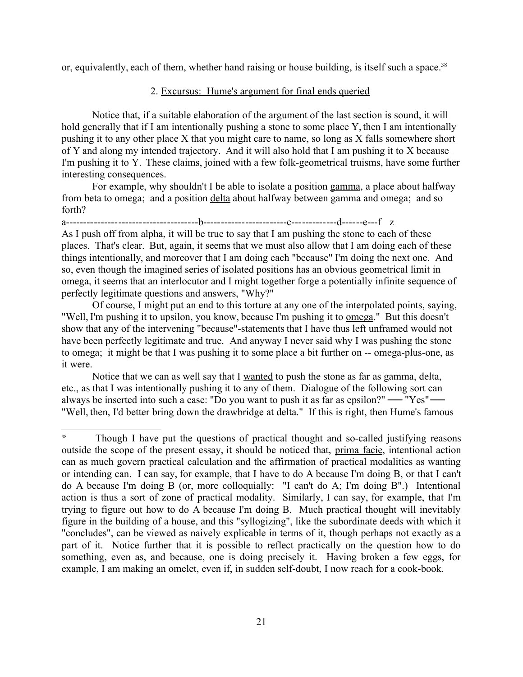or, equivalently, each of them, whether hand raising or house building, is itself such a space.<sup>[38](#page-20-0)</sup>

#### 2. Excursus: Hume's argument for final ends queried

Notice that, if a suitable elaboration of the argument of the last section is sound, it will hold generally that if I am intentionally pushing a stone to some place Y, then I am intentionally pushing it to any other place X that you might care to name, so long as X falls somewhere short of Y and along my intended trajectory. And it will also hold that I am pushing it to X because I'm pushing it to Y. These claims, joined with a few folk-geometrical truisms, have some further interesting consequences.

For example, why shouldn't I be able to isolate a position gamma, a place about halfway from beta to omega; and a position delta about halfway between gamma and omega; and so forth?

a--------------------------------------b------------------------c-------------d------e---f z

As I push off from alpha, it will be true to say that I am pushing the stone to each of these places. That's clear. But, again, it seems that we must also allow that I am doing each of these things intentionally, and moreover that I am doing each "because" I'm doing the next one. And so, even though the imagined series of isolated positions has an obvious geometrical limit in omega, it seems that an interlocutor and I might together forge a potentially infinite sequence of perfectly legitimate questions and answers, "Why?"

Of course, I might put an end to this torture at any one of the interpolated points, saying, "Well, I'm pushing it to upsilon, you know, because I'm pushing it to omega." But this doesn't show that any of the intervening "because"-statements that I have thus left unframed would not have been perfectly legitimate and true. And anyway I never said why I was pushing the stone to omega; it might be that I was pushing it to some place a bit further on -- omega-plus-one, as it were.

Notice that we can as well say that I wanted to push the stone as far as gamma, delta, etc., as that I was intentionally pushing it to any of them. Dialogue of the following sort can always be inserted into such a case: "Do you want to push it as far as epsilon?" — "Yes" — "Well, then, I'd better bring down the drawbridge at delta." If this is right, then Hume's famous

<span id="page-20-0"></span><sup>&</sup>lt;sup>38</sup> Though I have put the questions of practical thought and so-called justifying reasons outside the scope of the present essay, it should be noticed that, prima facie, intentional action can as much govern practical calculation and the affirmation of practical modalities as wanting or intending can. I can say, for example, that I have to do A because I'm doing B, or that I can't do A because I'm doing B (or, more colloquially: "I can't do A; I'm doing B".) Intentional action is thus a sort of zone of practical modality. Similarly, I can say, for example, that I'm trying to figure out how to do A because I'm doing B. Much practical thought will inevitably figure in the building of a house, and this "syllogizing", like the subordinate deeds with which it "concludes", can be viewed as naively explicable in terms of it, though perhaps not exactly as a part of it. Notice further that it is possible to reflect practically on the question how to do something, even as, and because, one is doing precisely it. Having broken a few eggs, for example, I am making an omelet, even if, in sudden self-doubt, I now reach for a cook-book.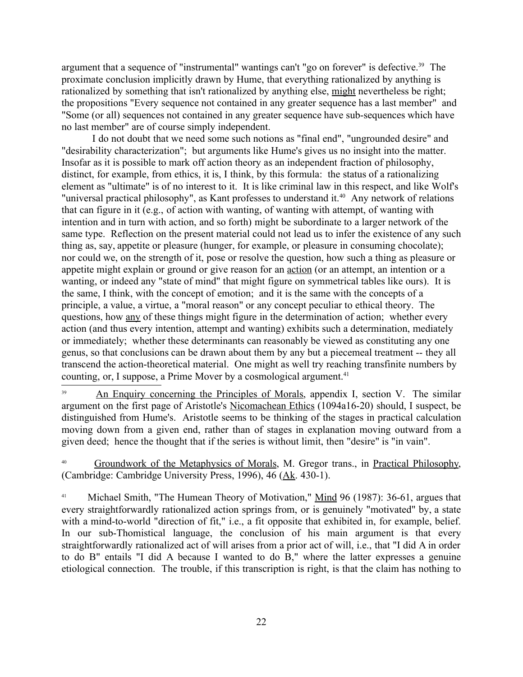argument that a sequence of "instrumental" wantings can't "go on forever" is defective.<sup>[39](#page-21-0)</sup> The proximate conclusion implicitly drawn by Hume, that everything rationalized by anything is rationalized by something that isn't rationalized by anything else, might nevertheless be right; the propositions "Every sequence not contained in any greater sequence has a last member" and "Some (or all) sequences not contained in any greater sequence have sub-sequences which have no last member" are of course simply independent.

I do not doubt that we need some such notions as "final end", "ungrounded desire" and "desirability characterization"; but arguments like Hume's gives us no insight into the matter. Insofar as it is possible to mark off action theory as an independent fraction of philosophy, distinct, for example, from ethics, it is, I think, by this formula: the status of a rationalizing element as "ultimate" is of no interest to it. It is like criminal law in this respect, and like Wolf's "universal practical philosophy", as Kant professes to understand it.<sup>[40](#page-21-1)</sup> Any network of relations that can figure in it (e.g., of action with wanting, of wanting with attempt, of wanting with intention and in turn with action, and so forth) might be subordinate to a larger network of the same type. Reflection on the present material could not lead us to infer the existence of any such thing as, say, appetite or pleasure (hunger, for example, or pleasure in consuming chocolate); nor could we, on the strength of it, pose or resolve the question, how such a thing as pleasure or appetite might explain or ground or give reason for an action (or an attempt, an intention or a wanting, or indeed any "state of mind" that might figure on symmetrical tables like ours). It is the same, I think, with the concept of emotion; and it is the same with the concepts of a principle, a value, a virtue, a "moral reason" or any concept peculiar to ethical theory. The questions, how any of these things might figure in the determination of action; whether every action (and thus every intention, attempt and wanting) exhibits such a determination, mediately or immediately; whether these determinants can reasonably be viewed as constituting any one genus, so that conclusions can be drawn about them by any but a piecemeal treatment -- they all transcend the action-theoretical material. One might as well try reaching transfinite numbers by counting, or, I suppose, a Prime Mover by a cosmological argument.<sup>[41](#page-21-2)</sup>

<span id="page-21-0"></span>An Enquiry concerning the Principles of Morals, appendix I, section V. The similar argument on the first page of Aristotle's Nicomachean Ethics (1094a16-20) should, I suspect, be distinguished from Hume's. Aristotle seems to be thinking of the stages in practical calculation moving down from a given end, rather than of stages in explanation moving outward from a given deed; hence the thought that if the series is without limit, then "desire" is "in vain".

<span id="page-21-1"></span>Groundwork of the Metaphysics of Morals, M. Gregor trans., in Practical Philosophy, (Cambridge: Cambridge University Press, 1996), 46 (Ak. 430-1).

<span id="page-21-2"></span><sup>41</sup> Michael Smith, "The Humean Theory of Motivation," <u>Mind</u> 96 (1987): 36-61, argues that every straightforwardly rationalized action springs from, or is genuinely "motivated" by, a state with a mind-to-world "direction of fit," i.e., a fit opposite that exhibited in, for example, belief. In our sub-Thomistical language, the conclusion of his main argument is that every straightforwardly rationalized act of will arises from a prior act of will, i.e., that "I did A in order to do B" entails "I did A because I wanted to do B," where the latter expresses a genuine etiological connection. The trouble, if this transcription is right, is that the claim has nothing to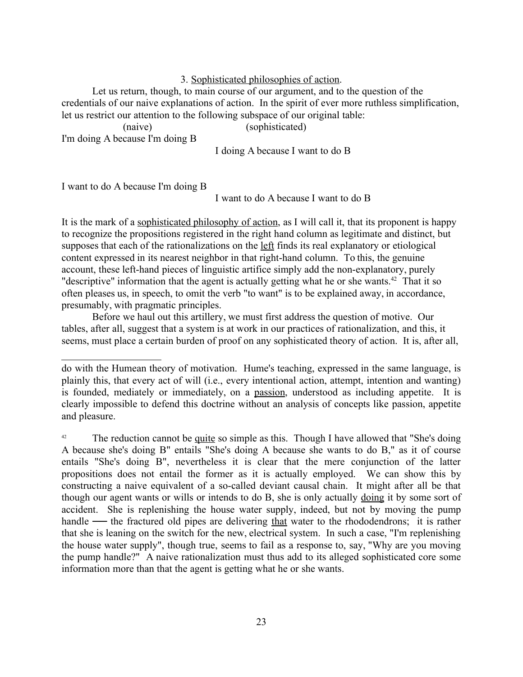## 3. Sophisticated philosophies of action.

Let us return, though, to main course of our argument, and to the question of the credentials of our naive explanations of action. In the spirit of ever more ruthless simplification, let us restrict our attention to the following subspace of our original table: (naive) (sophisticated)

I'm doing A because I'm doing B

I doing A because I want to do B

I want to do A because I'm doing B

I want to do A because I want to do B

It is the mark of a sophisticated philosophy of action, as I will call it, that its proponent is happy to recognize the propositions registered in the right hand column as legitimate and distinct, but supposes that each of the rationalizations on the left finds its real explanatory or etiological content expressed in its nearest neighbor in that right-hand column. To this, the genuine account, these left-hand pieces of linguistic artifice simply add the non-explanatory, purely "descriptive" information that the agent is actually getting what he or she wants.<sup>[42](#page-22-0)</sup> That it so often pleases us, in speech, to omit the verb "to want" is to be explained away, in accordance, presumably, with pragmatic principles.

Before we haul out this artillery, we must first address the question of motive. Our tables, after all, suggest that a system is at work in our practices of rationalization, and this, it seems, must place a certain burden of proof on any sophisticated theory of action. It is, after all,

do with the Humean theory of motivation. Hume's teaching, expressed in the same language, is plainly this, that every act of will (i.e., every intentional action, attempt, intention and wanting) is founded, mediately or immediately, on a passion, understood as including appetite. It is clearly impossible to defend this doctrine without an analysis of concepts like passion, appetite and pleasure.

<span id="page-22-0"></span><sup>&</sup>lt;sup>42</sup> The reduction cannot be <u>quite</u> so simple as this. Though I have allowed that "She's doing" A because she's doing B" entails "She's doing A because she wants to do B," as it of course entails "She's doing B", nevertheless it is clear that the mere conjunction of the latter propositions does not entail the former as it is actually employed. We can show this by constructing a naive equivalent of a so-called deviant causal chain. It might after all be that though our agent wants or wills or intends to do B, she is only actually doing it by some sort of accident. She is replenishing the house water supply, indeed, but not by moving the pump handle — the fractured old pipes are delivering that water to the rhododendrons; it is rather that she is leaning on the switch for the new, electrical system. In such a case, "I'm replenishing the house water supply", though true, seems to fail as a response to, say, "Why are you moving the pump handle?" A naive rationalization must thus add to its alleged sophisticated core some information more than that the agent is getting what he or she wants.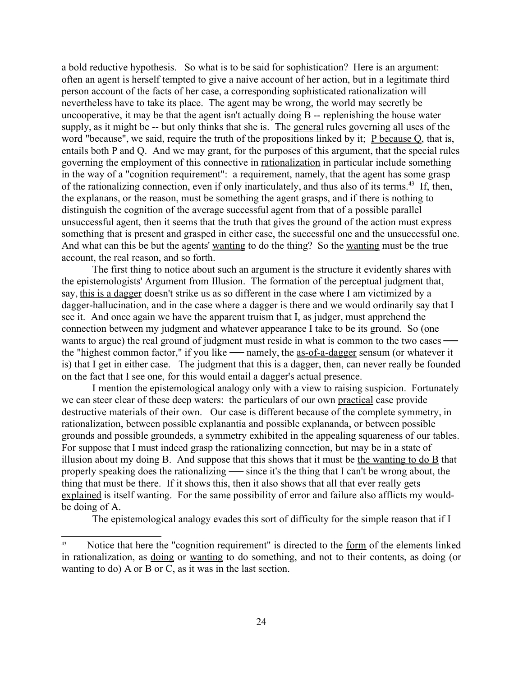a bold reductive hypothesis. So what is to be said for sophistication? Here is an argument: often an agent is herself tempted to give a naive account of her action, but in a legitimate third person account of the facts of her case, a corresponding sophisticated rationalization will nevertheless have to take its place. The agent may be wrong, the world may secretly be uncooperative, it may be that the agent isn't actually doing B -- replenishing the house water supply, as it might be -- but only thinks that she is. The general rules governing all uses of the word "because", we said, require the truth of the propositions linked by it;  $\overline{P}$  because  $\overline{Q}$ , that is, entails both P and Q. And we may grant, for the purposes of this argument, that the special rules governing the employment of this connective in rationalization in particular include something in the way of a "cognition requirement": a requirement, namely, that the agent has some grasp of the rationalizing connection, even if only inarticulately, and thus also of its terms.<sup>[43](#page-23-0)</sup> If, then, the explanans, or the reason, must be something the agent grasps, and if there is nothing to distinguish the cognition of the average successful agent from that of a possible parallel unsuccessful agent, then it seems that the truth that gives the ground of the action must express something that is present and grasped in either case, the successful one and the unsuccessful one. And what can this be but the agents' wanting to do the thing? So the wanting must be the true account, the real reason, and so forth.

The first thing to notice about such an argument is the structure it evidently shares with the epistemologists' Argument from Illusion. The formation of the perceptual judgment that, say, this is a dagger doesn't strike us as so different in the case where I am victimized by a dagger-hallucination, and in the case where a dagger is there and we would ordinarily say that I see it. And once again we have the apparent truism that I, as judger, must apprehend the connection between my judgment and whatever appearance I take to be its ground. So (one wants to argue) the real ground of judgment must reside in what is common to the two cases the "highest common factor," if you like — namely, the <u>as-of-a-dagger</u> sensum (or whatever it is) that I get in either case. The judgment that this is a dagger, then, can never really be founded on the fact that I see one, for this would entail a dagger's actual presence.

I mention the epistemological analogy only with a view to raising suspicion. Fortunately we can steer clear of these deep waters: the particulars of our own practical case provide destructive materials of their own. Our case is different because of the complete symmetry, in rationalization, between possible explanantia and possible explananda, or between possible grounds and possible groundeds, a symmetry exhibited in the appealing squareness of our tables. For suppose that I must indeed grasp the rationalizing connection, but may be in a state of illusion about my doing B. And suppose that this shows that it must be the wanting to do B that properly speaking does the rationalizing — since it's the thing that I can't be wrong about, the thing that must be there. If it shows this, then it also shows that all that ever really gets explained is itself wanting. For the same possibility of error and failure also afflicts my wouldbe doing of A.

The epistemological analogy evades this sort of difficulty for the simple reason that if I

<span id="page-23-0"></span><sup>&</sup>lt;sup>43</sup> Notice that here the "cognition requirement" is directed to the <u>form</u> of the elements linked in rationalization, as doing or wanting to do something, and not to their contents, as doing (or wanting to do) A or B or C, as it was in the last section.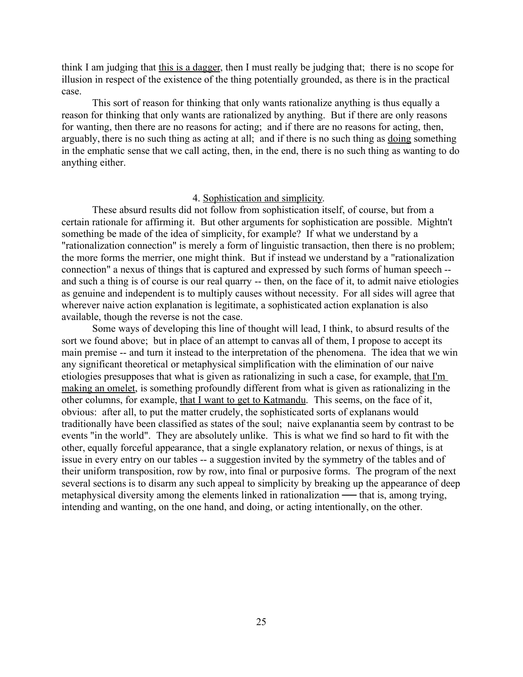think I am judging that this is a dagger, then I must really be judging that; there is no scope for illusion in respect of the existence of the thing potentially grounded, as there is in the practical case.

This sort of reason for thinking that only wants rationalize anything is thus equally a reason for thinking that only wants are rationalized by anything. But if there are only reasons for wanting, then there are no reasons for acting; and if there are no reasons for acting, then, arguably, there is no such thing as acting at all; and if there is no such thing as doing something in the emphatic sense that we call acting, then, in the end, there is no such thing as wanting to do anything either.

#### 4. Sophistication and simplicity.

These absurd results did not follow from sophistication itself, of course, but from a certain rationale for affirming it. But other arguments for sophistication are possible. Mightn't something be made of the idea of simplicity, for example? If what we understand by a "rationalization connection" is merely a form of linguistic transaction, then there is no problem; the more forms the merrier, one might think. But if instead we understand by a "rationalization connection" a nexus of things that is captured and expressed by such forms of human speech - and such a thing is of course is our real quarry -- then, on the face of it, to admit naive etiologies as genuine and independent is to multiply causes without necessity. For all sides will agree that wherever naive action explanation is legitimate, a sophisticated action explanation is also available, though the reverse is not the case.

Some ways of developing this line of thought will lead, I think, to absurd results of the sort we found above; but in place of an attempt to canvas all of them, I propose to accept its main premise -- and turn it instead to the interpretation of the phenomena. The idea that we win any significant theoretical or metaphysical simplification with the elimination of our naive etiologies presupposes that what is given as rationalizing in such a case, for example, that I'm making an omelet, is something profoundly different from what is given as rationalizing in the other columns, for example, that I want to get to Katmandu. This seems, on the face of it, obvious: after all, to put the matter crudely, the sophisticated sorts of explanans would traditionally have been classified as states of the soul; naive explanantia seem by contrast to be events "in the world". They are absolutely unlike. This is what we find so hard to fit with the other, equally forceful appearance, that a single explanatory relation, or nexus of things, is at issue in every entry on our tables -- a suggestion invited by the symmetry of the tables and of their uniform transposition, row by row, into final or purposive forms. The program of the next several sections is to disarm any such appeal to simplicity by breaking up the appearance of deep metaphysical diversity among the elements linked in rationalization — that is, among trying, intending and wanting, on the one hand, and doing, or acting intentionally, on the other.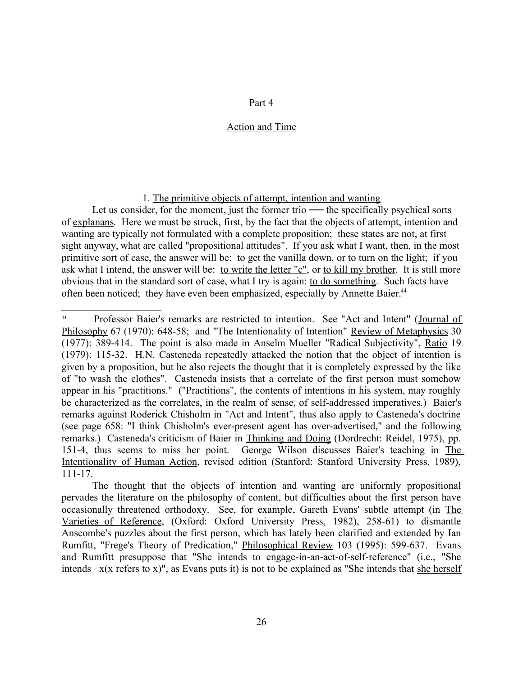### Part 4

### Action and Time

### 1. The primitive objects of attempt, intention and wanting

Let us consider, for the moment, just the former trio — the specifically psychical sorts of explanans. Here we must be struck, first, by the fact that the objects of attempt, intention and wanting are typically not formulated with a complete proposition; these states are not, at first sight anyway, what are called "propositional attitudes". If you ask what I want, then, in the most primitive sort of case, the answer will be: to get the vanilla down, or to turn on the light; if you ask what I intend, the answer will be: to write the letter "c", or to kill my brother. It is still more obvious that in the standard sort of case, what I try is again: to do something. Such facts have often been noticed; they have even been emphasized, especially by Annette Baier.<sup>[44](#page-25-0)</sup>

<span id="page-25-0"></span><sup>&</sup>lt;sup>44</sup> Professor Baier's remarks are restricted to intention. See "Act and Intent" (Journal of Philosophy 67 (1970): 648-58; and "The Intentionality of Intention" Review of Metaphysics 30 (1977): 389-414. The point is also made in Anselm Mueller "Radical Subjectivity", Ratio 19 (1979): 115-32. H.N. Casteneda repeatedly attacked the notion that the object of intention is given by a proposition, but he also rejects the thought that it is completely expressed by the like of "to wash the clothes". Casteneda insists that a correlate of the first person must somehow appear in his "practitions." ("Practitions", the contents of intentions in his system, may roughly be characterized as the correlates, in the realm of sense, of self-addressed imperatives.) Baier's remarks against Roderick Chisholm in "Act and Intent", thus also apply to Casteneda's doctrine (see page 658: "I think Chisholm's ever-present agent has over-advertised," and the following remarks.) Casteneda's criticism of Baier in Thinking and Doing (Dordrecht: Reidel, 1975), pp. 151-4, thus seems to miss her point. George Wilson discusses Baier's teaching in The Intentionality of Human Action, revised edition (Stanford: Stanford University Press, 1989), 111-17.

The thought that the objects of intention and wanting are uniformly propositional pervades the literature on the philosophy of content, but difficulties about the first person have occasionally threatened orthodoxy. See, for example, Gareth Evans' subtle attempt (in The Varieties of Reference, (Oxford: Oxford University Press, 1982), 258-61) to dismantle Anscombe's puzzles about the first person, which has lately been clarified and extended by Ian Rumfitt, "Frege's Theory of Predication," Philosophical Review 103 (1995): 599-637. Evans and Rumfitt presuppose that "She intends to engage-in-an-act-of-self-reference" (i.e., "She intends x(x refers to x)", as Evans puts it) is not to be explained as "She intends that she herself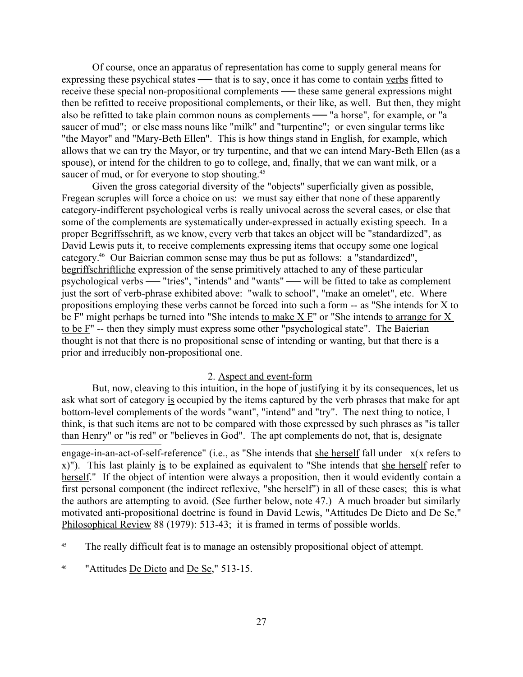Of course, once an apparatus of representation has come to supply general means for expressing these psychical states — that is to say, once it has come to contain verbs fitted to receive these special non-propositional complements — these same general expressions might then be refitted to receive propositional complements, or their like, as well. But then, they might also be refitted to take plain common nouns as complements — "a horse", for example, or "a saucer of mud"; or else mass nouns like "milk" and "turpentine"; or even singular terms like "the Mayor" and "Mary-Beth Ellen". This is how things stand in English, for example, which allows that we can try the Mayor, or try turpentine, and that we can intend Mary-Beth Ellen (as a spouse), or intend for the children to go to college, and, finally, that we can want milk, or a saucer of mud, or for everyone to stop shouting.<sup>[45](#page-26-0)</sup>

Given the gross categorial diversity of the "objects" superficially given as possible, Fregean scruples will force a choice on us: we must say either that none of these apparently category-indifferent psychological verbs is really univocal across the several cases, or else that some of the complements are systematically under-expressed in actually existing speech. In a proper Begriffsschrift, as we know, every verb that takes an object will be "standardized", as David Lewis puts it, to receive complements expressing items that occupy some one logical category.[46](#page-26-1) Our Baierian common sense may thus be put as follows: a "standardized", begriffschriftliche expression of the sense primitively attached to any of these particular psychological verbs ── "tries", "intends" and "wants" ── will be fitted to take as complement just the sort of verb-phrase exhibited above: "walk to school", "make an omelet", etc. Where propositions employing these verbs cannot be forced into such a form -- as "She intends for X to be F" might perhaps be turned into "She intends to make  $X F'$  or "She intends to arrange for X to be F" -- then they simply must express some other "psychological state". The Baierian thought is not that there is no propositional sense of intending or wanting, but that there is a prior and irreducibly non-propositional one.

# 2. Aspect and event-form

But, now, cleaving to this intuition, in the hope of justifying it by its consequences, let us ask what sort of category is occupied by the items captured by the verb phrases that make for apt bottom-level complements of the words "want", "intend" and "try". The next thing to notice, I think, is that such items are not to be compared with those expressed by such phrases as "is taller than Henry" or "is red" or "believes in God". The apt complements do not, that is, designate

engage-in-an-act-of-self-reference" (i.e., as "She intends that she herself fall under x(x refers to  $(x)$ "). This last plainly is to be explained as equivalent to "She intends that she herself refer to herself." If the object of intention were always a proposition, then it would evidently contain a first personal component (the indirect reflexive, "she herself") in all of these cases; this is what the authors are attempting to avoid. (See further below, note 47.) A much broader but similarly motivated anti-propositional doctrine is found in David Lewis, "Attitudes De Dicto and De Se," Philosophical Review 88 (1979): 513-43; it is framed in terms of possible worlds.

<span id="page-26-0"></span><sup>45</sup> The really difficult feat is to manage an ostensibly propositional object of attempt.

<span id="page-26-1"></span><sup>&</sup>lt;sup>46</sup> "Attitudes <u>De Dicto</u> and <u>De Se</u>," 513-15.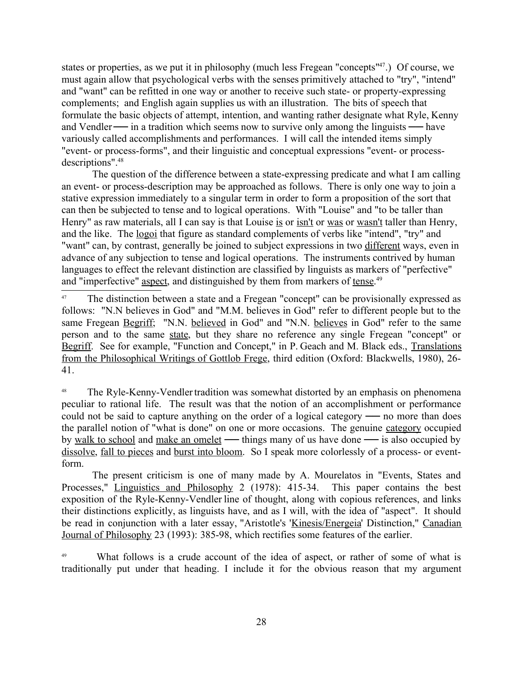states or properties, as we put it in philosophy (much less Fregean "concepts"[47](#page-27-0).) Of course, we must again allow that psychological verbs with the senses primitively attached to "try", "intend" and "want" can be refitted in one way or another to receive such state- or property-expressing complements; and English again supplies us with an illustration. The bits of speech that formulate the basic objects of attempt, intention, and wanting rather designate what Ryle, Kenny and Vendler — in a tradition which seems now to survive only among the linguists — have variously called accomplishments and performances. I will call the intended items simply "event- or process-forms", and their linguistic and conceptual expressions "event- or process-descriptions".<sup>[48](#page-27-1)</sup>

The question of the difference between a state-expressing predicate and what I am calling an event- or process-description may be approached as follows. There is only one way to join a stative expression immediately to a singular term in order to form a proposition of the sort that can then be subjected to tense and to logical operations. With "Louise" and "to be taller than Henry" as raw materials, all I can say is that Louise is or isn't or was or wasn't taller than Henry, and the like. The logoi that figure as standard complements of verbs like "intend", "try" and "want" can, by contrast, generally be joined to subject expressions in two different ways, even in advance of any subjection to tense and logical operations. The instruments contrived by human languages to effect the relevant distinction are classified by linguists as markers of "perfective" and "imperfective" aspect, and distinguished by them from markers of tense.<sup>[49](#page-27-2)</sup>

<span id="page-27-0"></span><sup>47</sup> The distinction between a state and a Fregean "concept" can be provisionally expressed as follows: "N.N believes in God" and "M.M. believes in God" refer to different people but to the same Fregean Begriff; "N.N. believed in God" and "N.N. believes in God" refer to the same person and to the same state, but they share no reference any single Fregean "concept" or Begriff. See for example, "Function and Concept," in P. Geach and M. Black eds., Translations from the Philosophical Writings of Gottlob Frege, third edition (Oxford: Blackwells, 1980), 26- 41.

<span id="page-27-1"></span><sup>48</sup> The Ryle-Kenny-Vendler tradition was somewhat distorted by an emphasis on phenomena peculiar to rational life. The result was that the notion of an accomplishment or performance could not be said to capture anything on the order of a logical category — no more than does the parallel notion of "what is done" on one or more occasions. The genuine category occupied by walk to school and make an omelet — things many of us have done — is also occupied by dissolve, fall to pieces and burst into bloom. So I speak more colorlessly of a process- or eventform.

The present criticism is one of many made by A. Mourelatos in "Events, States and Processes," Linguistics and Philosophy 2 (1978): 415-34. This paper contains the best exposition of the Ryle-Kenny-Vendler line of thought, along with copious references, and links their distinctions explicitly, as linguists have, and as I will, with the idea of "aspect". It should be read in conjunction with a later essay, "Aristotle's 'Kinesis/Energeia' Distinction," Canadian Journal of Philosophy 23 (1993): 385-98, which rectifies some features of the earlier.

<span id="page-27-2"></span>What follows is a crude account of the idea of aspect, or rather of some of what is traditionally put under that heading. I include it for the obvious reason that my argument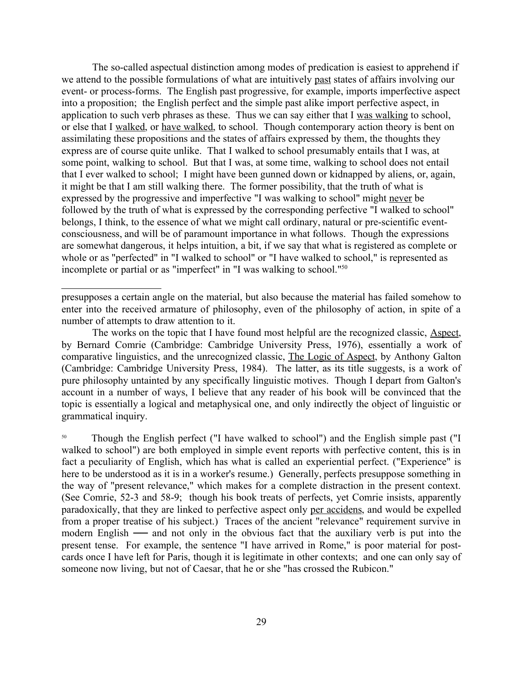The so-called aspectual distinction among modes of predication is easiest to apprehend if we attend to the possible formulations of what are intuitively past states of affairs involving our event- or process-forms. The English past progressive, for example, imports imperfective aspect into a proposition; the English perfect and the simple past alike import perfective aspect, in application to such verb phrases as these. Thus we can say either that I was walking to school, or else that I walked, or have walked, to school. Though contemporary action theory is bent on assimilating these propositions and the states of affairs expressed by them, the thoughts they express are of course quite unlike. That I walked to school presumably entails that I was, at some point, walking to school. But that I was, at some time, walking to school does not entail that I ever walked to school; I might have been gunned down or kidnapped by aliens, or, again, it might be that I am still walking there. The former possibility, that the truth of what is expressed by the progressive and imperfective "I was walking to school" might never be followed by the truth of what is expressed by the corresponding perfective "I walked to school" belongs, I think, to the essence of what we might call ordinary, natural or pre-scientific eventconsciousness, and will be of paramount importance in what follows. Though the expressions are somewhat dangerous, it helps intuition, a bit, if we say that what is registered as complete or whole or as "perfected" in "I walked to school" or "I have walked to school," is represented as incomplete or partial or as "imperfect" in "I was walking to school."[50](#page-28-0)

<span id="page-28-0"></span><sup>50</sup> Though the English perfect ("I have walked to school") and the English simple past ("I walked to school") are both employed in simple event reports with perfective content, this is in fact a peculiarity of English, which has what is called an experiential perfect. ("Experience" is here to be understood as it is in a worker's resume.) Generally, perfects presuppose something in the way of "present relevance," which makes for a complete distraction in the present context. (See Comrie, 52-3 and 58-9; though his book treats of perfects, yet Comrie insists, apparently paradoxically, that they are linked to perfective aspect only per accidens, and would be expelled from a proper treatise of his subject.) Traces of the ancient "relevance" requirement survive in modern English — and not only in the obvious fact that the auxiliary verb is put into the present tense. For example, the sentence "I have arrived in Rome," is poor material for postcards once I have left for Paris, though it is legitimate in other contexts; and one can only say of someone now living, but not of Caesar, that he or she "has crossed the Rubicon."

presupposes a certain angle on the material, but also because the material has failed somehow to enter into the received armature of philosophy, even of the philosophy of action, in spite of a number of attempts to draw attention to it.

The works on the topic that I have found most helpful are the recognized classic, Aspect, by Bernard Comrie (Cambridge: Cambridge University Press, 1976), essentially a work of comparative linguistics, and the unrecognized classic, The Logic of Aspect, by Anthony Galton (Cambridge: Cambridge University Press, 1984). The latter, as its title suggests, is a work of pure philosophy untainted by any specifically linguistic motives. Though I depart from Galton's account in a number of ways, I believe that any reader of his book will be convinced that the topic is essentially a logical and metaphysical one, and only indirectly the object of linguistic or grammatical inquiry.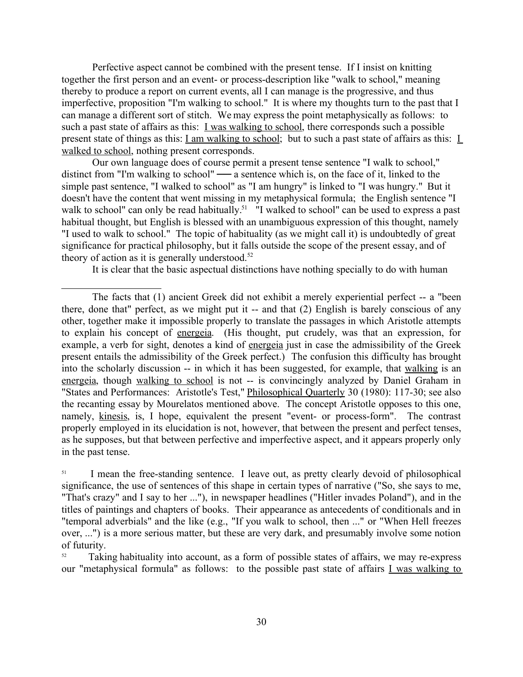Perfective aspect cannot be combined with the present tense. If I insist on knitting together the first person and an event- or process-description like "walk to school," meaning thereby to produce a report on current events, all I can manage is the progressive, and thus imperfective, proposition "I'm walking to school." It is where my thoughts turn to the past that I can manage a different sort of stitch. We may express the point metaphysically as follows: to such a past state of affairs as this: <u>I was walking to school</u>, there corresponds such a possible present state of things as this: <u>I am walking to school</u>; but to such a past state of affairs as this: <u>I</u> walked to school, nothing present corresponds.

Our own language does of course permit a present tense sentence "I walk to school," distinct from "I'm walking to school" — a sentence which is, on the face of it, linked to the simple past sentence, "I walked to school" as "I am hungry" is linked to "I was hungry." But it doesn't have the content that went missing in my metaphysical formula; the English sentence "I walk to school" can only be read habitually.<sup>[51](#page-29-0)</sup> "I walked to school" can be used to express a past habitual thought, but English is blessed with an unambiguous expression of this thought, namely "I used to walk to school." The topic of habituality (as we might call it) is undoubtedly of great significance for practical philosophy, but it falls outside the scope of the present essay, and of theory of action as it is generally understood.<sup>[52](#page-29-1)</sup>

It is clear that the basic aspectual distinctions have nothing specially to do with human

<span id="page-29-0"></span><sup>51</sup> I mean the free-standing sentence. I leave out, as pretty clearly devoid of philosophical significance, the use of sentences of this shape in certain types of narrative ("So, she says to me, "That's crazy" and I say to her ..."), in newspaper headlines ("Hitler invades Poland"), and in the titles of paintings and chapters of books. Their appearance as antecedents of conditionals and in "temporal adverbials" and the like (e.g., "If you walk to school, then ..." or "When Hell freezes over, ...") is a more serious matter, but these are very dark, and presumably involve some notion of futurity.

<span id="page-29-1"></span>Taking habituality into account, as a form of possible states of affairs, we may re-express our "metaphysical formula" as follows: to the possible past state of affairs I was walking to

The facts that (1) ancient Greek did not exhibit a merely experiential perfect -- a "been there, done that" perfect, as we might put it -- and that (2) English is barely conscious of any other, together make it impossible properly to translate the passages in which Aristotle attempts to explain his concept of energeia. (His thought, put crudely, was that an expression, for example, a verb for sight, denotes a kind of energeia just in case the admissibility of the Greek present entails the admissibility of the Greek perfect.) The confusion this difficulty has brought into the scholarly discussion -- in which it has been suggested, for example, that walking is an energeia, though walking to school is not -- is convincingly analyzed by Daniel Graham in "States and Performances: Aristotle's Test," Philosophical Quarterly 30 (1980): 117-30; see also the recanting essay by Mourelatos mentioned above. The concept Aristotle opposes to this one, namely, kinesis, is, I hope, equivalent the present "event- or process-form". The contrast properly employed in its elucidation is not, however, that between the present and perfect tenses, as he supposes, but that between perfective and imperfective aspect, and it appears properly only in the past tense.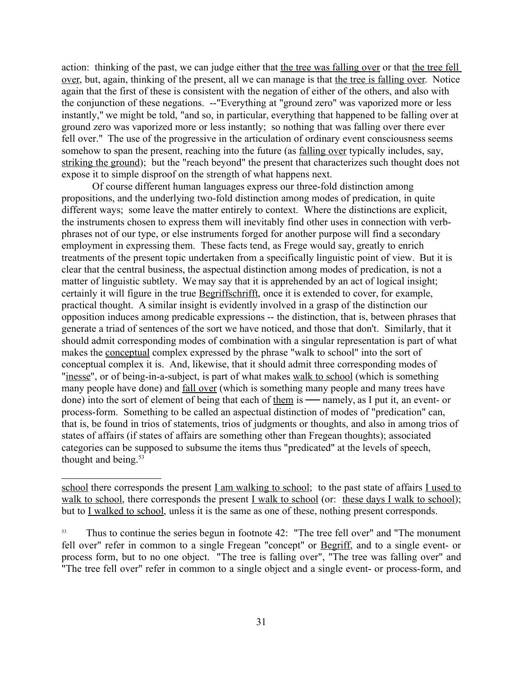action: thinking of the past, we can judge either that the tree was falling over or that the tree fell over, but, again, thinking of the present, all we can manage is that the tree is falling over. Notice again that the first of these is consistent with the negation of either of the others, and also with the conjunction of these negations. --"Everything at "ground zero" was vaporized more or less instantly," we might be told, "and so, in particular, everything that happened to be falling over at ground zero was vaporized more or less instantly; so nothing that was falling over there ever fell over." The use of the progressive in the articulation of ordinary event consciousness seems somehow to span the present, reaching into the future (as falling over typically includes, say, striking the ground); but the "reach beyond" the present that characterizes such thought does not expose it to simple disproof on the strength of what happens next.

Of course different human languages express our three-fold distinction among propositions, and the underlying two-fold distinction among modes of predication, in quite different ways; some leave the matter entirely to context. Where the distinctions are explicit, the instruments chosen to express them will inevitably find other uses in connection with verbphrases not of our type, or else instruments forged for another purpose will find a secondary employment in expressing them. These facts tend, as Frege would say, greatly to enrich treatments of the present topic undertaken from a specifically linguistic point of view. But it is clear that the central business, the aspectual distinction among modes of predication, is not a matter of linguistic subtlety. We may say that it is apprehended by an act of logical insight; certainly it will figure in the true Begriffschrifft, once it is extended to cover, for example, practical thought. A similar insight is evidently involved in a grasp of the distinction our opposition induces among predicable expressions -- the distinction, that is, between phrases that generate a triad of sentences of the sort we have noticed, and those that don't. Similarly, that it should admit corresponding modes of combination with a singular representation is part of what makes the conceptual complex expressed by the phrase "walk to school" into the sort of conceptual complex it is. And, likewise, that it should admit three corresponding modes of "inesse", or of being-in-a-subject, is part of what makes walk to school (which is something many people have done) and fall over (which is something many people and many trees have done) into the sort of element of being that each of them is — namely, as I put it, an event- or process-form. Something to be called an aspectual distinction of modes of "predication" can, that is, be found in trios of statements, trios of judgments or thoughts, and also in among trios of states of affairs (if states of affairs are something other than Fregean thoughts); associated categories can be supposed to subsume the items thus "predicated" at the levels of speech, thought and being.<sup>[53](#page-30-0)</sup>

school there corresponds the present I am walking to school; to the past state of affairs I used to walk to school, there corresponds the present I walk to school (or: these days I walk to school); but to <u>I walked to school</u>, unless it is the same as one of these, nothing present corresponds.

<span id="page-30-0"></span><sup>&</sup>lt;sup>53</sup> Thus to continue the series begun in footnote 42: "The tree fell over" and "The monument fell over" refer in common to a single Fregean "concept" or Begriff, and to a single event- or process form, but to no one object. "The tree is falling over", "The tree was falling over" and "The tree fell over" refer in common to a single object and a single event- or process-form, and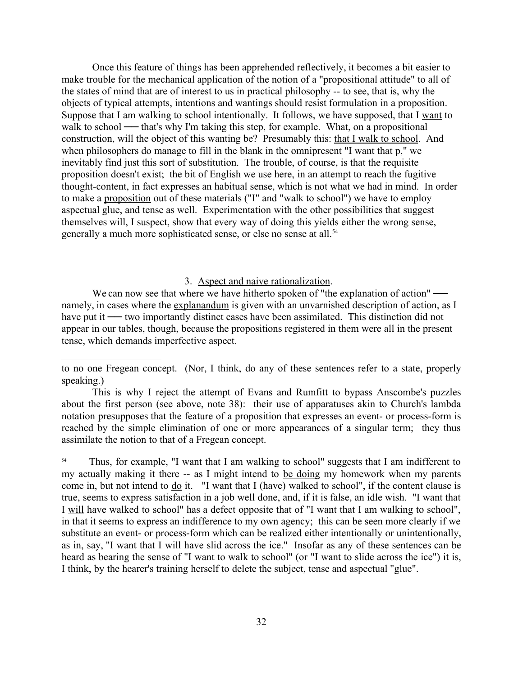Once this feature of things has been apprehended reflectively, it becomes a bit easier to make trouble for the mechanical application of the notion of a "propositional attitude" to all of the states of mind that are of interest to us in practical philosophy -- to see, that is, why the objects of typical attempts, intentions and wantings should resist formulation in a proposition. Suppose that I am walking to school intentionally. It follows, we have supposed, that I want to walk to school — that's why I'm taking this step, for example. What, on a propositional construction, will the object of this wanting be? Presumably this: that I walk to school. And when philosophers do manage to fill in the blank in the omnipresent "I want that p," we inevitably find just this sort of substitution. The trouble, of course, is that the requisite proposition doesn't exist; the bit of English we use here, in an attempt to reach the fugitive thought-content, in fact expresses an habitual sense, which is not what we had in mind. In order to make a proposition out of these materials ("I" and "walk to school") we have to employ aspectual glue, and tense as well. Experimentation with the other possibilities that suggest themselves will, I suspect, show that every way of doing this yields either the wrong sense, generally a much more sophisticated sense, or else no sense at all.<sup>[54](#page-31-0)</sup>

### 3. Aspect and naive rationalization.

We can now see that where we have hitherto spoken of "the explanation of action" namely, in cases where the explanandum is given with an unvarnished description of action, as I have put it — two importantly distinct cases have been assimilated. This distinction did not appear in our tables, though, because the propositions registered in them were all in the present tense, which demands imperfective aspect.

to no one Fregean concept. (Nor, I think, do any of these sentences refer to a state, properly speaking.)

This is why I reject the attempt of Evans and Rumfitt to bypass Anscombe's puzzles about the first person (see above, note 38): their use of apparatuses akin to Church's lambda notation presupposes that the feature of a proposition that expresses an event- or process-form is reached by the simple elimination of one or more appearances of a singular term; they thus assimilate the notion to that of a Fregean concept.

<span id="page-31-0"></span><sup>&</sup>lt;sup>54</sup> Thus, for example, "I want that I am walking to school" suggests that I am indifferent to my actually making it there -- as I might intend to be doing my homework when my parents come in, but not intend to do it. "I want that I (have) walked to school", if the content clause is true, seems to express satisfaction in a job well done, and, if it is false, an idle wish. "I want that I will have walked to school" has a defect opposite that of "I want that I am walking to school", in that it seems to express an indifference to my own agency; this can be seen more clearly if we substitute an event- or process-form which can be realized either intentionally or unintentionally, as in, say, "I want that I will have slid across the ice." Insofar as any of these sentences can be heard as bearing the sense of "I want to walk to school" (or "I want to slide across the ice") it is, I think, by the hearer's training herself to delete the subject, tense and aspectual "glue".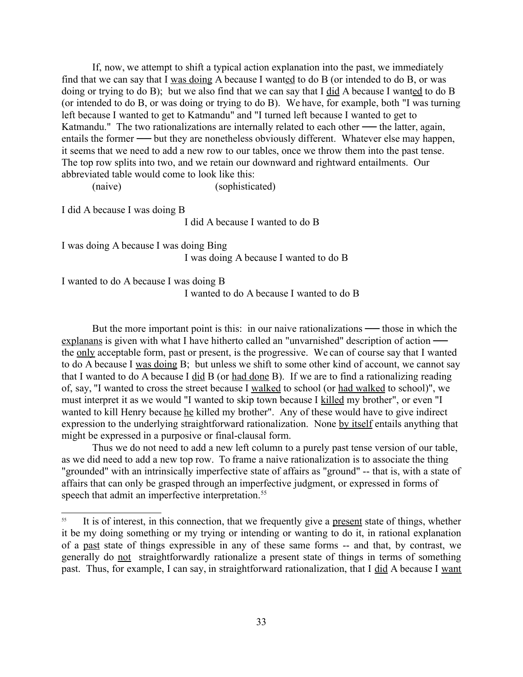If, now, we attempt to shift a typical action explanation into the past, we immediately find that we can say that I was doing A because I wanted to do B (or intended to do B, or was doing or trying to do B); but we also find that we can say that I did A because I wanted to do B (or intended to do B, or was doing or trying to do B). We have, for example, both "I was turning left because I wanted to get to Katmandu" and "I turned left because I wanted to get to Katmandu." The two rationalizations are internally related to each other — the latter, again, entails the former — but they are nonetheless obviously different. Whatever else may happen, it seems that we need to add a new row to our tables, once we throw them into the past tense. The top row splits into two, and we retain our downward and rightward entailments. Our abbreviated table would come to look like this:

(naive) (sophisticated)

I did A because I was doing B

I did A because I wanted to do B

I was doing A because I was doing Bing I was doing A because I wanted to do B

I wanted to do A because I was doing B I wanted to do A because I wanted to do B

But the more important point is this: in our naive rationalizations — those in which the explanans is given with what I have hitherto called an "unvarnished" description of action the only acceptable form, past or present, is the progressive. We can of course say that I wanted to do A because I was doing B; but unless we shift to some other kind of account, we cannot say that I wanted to do A because I  $\text{did } B$  (or had done B). If we are to find a rationalizing reading of, say, "I wanted to cross the street because I walked to school (or had walked to school)", we must interpret it as we would "I wanted to skip town because I killed my brother", or even "I wanted to kill Henry because he killed my brother". Any of these would have to give indirect expression to the underlying straightforward rationalization. None by itself entails anything that might be expressed in a purposive or final-clausal form.

Thus we do not need to add a new left column to a purely past tense version of our table, as we did need to add a new top row. To frame a naive rationalization is to associate the thing "grounded" with an intrinsically imperfective state of affairs as "ground" -- that is, with a state of affairs that can only be grasped through an imperfective judgment, or expressed in forms of speech that admit an imperfective interpretation.<sup>[55](#page-32-0)</sup>

<span id="page-32-0"></span><sup>&</sup>lt;sup>55</sup> It is of interest, in this connection, that we frequently give a <u>present</u> state of things, whether it be my doing something or my trying or intending or wanting to do it, in rational explanation of a past state of things expressible in any of these same forms -- and that, by contrast, we generally do not straightforwardly rationalize a present state of things in terms of something past. Thus, for example, I can say, in straightforward rationalization, that I did A because I want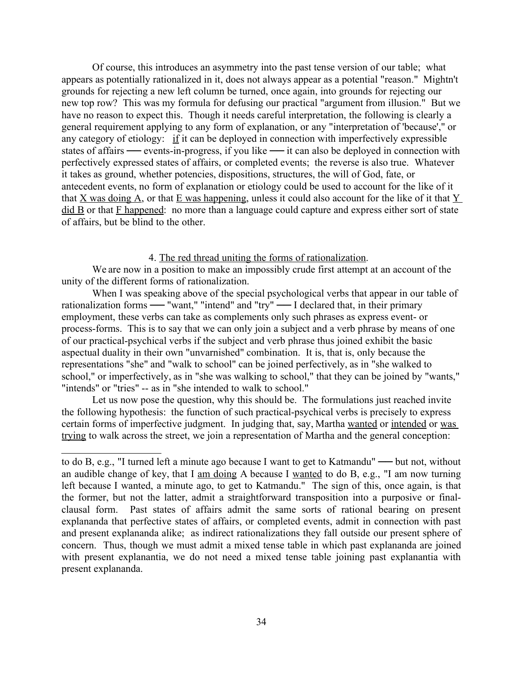Of course, this introduces an asymmetry into the past tense version of our table; what appears as potentially rationalized in it, does not always appear as a potential "reason." Mightn't grounds for rejecting a new left column be turned, once again, into grounds for rejecting our new top row? This was my formula for defusing our practical "argument from illusion." But we have no reason to expect this. Though it needs careful interpretation, the following is clearly a general requirement applying to any form of explanation, or any "interpretation of 'because'," or any category of etiology: if it can be deployed in connection with imperfectively expressible states of affairs — events-in-progress, if you like — it can also be deployed in connection with perfectively expressed states of affairs, or completed events; the reverse is also true. Whatever it takes as ground, whether potencies, dispositions, structures, the will of God, fate, or antecedent events, no form of explanation or etiology could be used to account for the like of it that X was doing A, or that E was happening, unless it could also account for the like of it that Y did B or that F happened: no more than a language could capture and express either sort of state of affairs, but be blind to the other.

### 4. The red thread uniting the forms of rationalization.

We are now in a position to make an impossibly crude first attempt at an account of the unity of the different forms of rationalization.

When I was speaking above of the special psychological verbs that appear in our table of rationalization forms — "want," "intend" and "try" — I declared that, in their primary employment, these verbs can take as complements only such phrases as express event- or process-forms. This is to say that we can only join a subject and a verb phrase by means of one of our practical-psychical verbs if the subject and verb phrase thus joined exhibit the basic aspectual duality in their own "unvarnished" combination. It is, that is, only because the representations "she" and "walk to school" can be joined perfectively, as in "she walked to school," or imperfectively, as in "she was walking to school," that they can be joined by "wants," "intends" or "tries" -- as in "she intended to walk to school."

Let us now pose the question, why this should be. The formulations just reached invite the following hypothesis: the function of such practical-psychical verbs is precisely to express certain forms of imperfective judgment. In judging that, say, Martha wanted or intended or was trying to walk across the street, we join a representation of Martha and the general conception:

to do B, e.g., "I turned left a minute ago because I want to get to Katmandu" ── but not, without an audible change of key, that I am doing A because I wanted to do B, e.g., "I am now turning left because I wanted, a minute ago, to get to Katmandu." The sign of this, once again, is that the former, but not the latter, admit a straightforward transposition into a purposive or finalclausal form. Past states of affairs admit the same sorts of rational bearing on present explananda that perfective states of affairs, or completed events, admit in connection with past and present explananda alike; as indirect rationalizations they fall outside our present sphere of concern. Thus, though we must admit a mixed tense table in which past explananda are joined with present explanantia, we do not need a mixed tense table joining past explanantia with present explananda.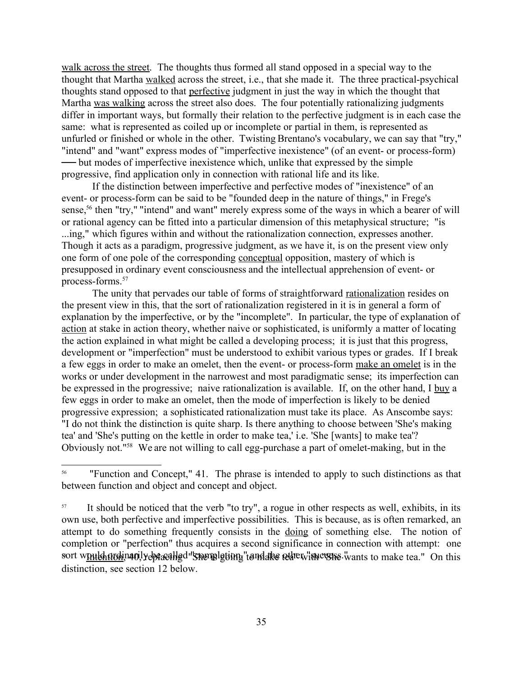walk across the street. The thoughts thus formed all stand opposed in a special way to the thought that Martha walked across the street, i.e., that she made it. The three practical-psychical thoughts stand opposed to that perfective judgment in just the way in which the thought that Martha was walking across the street also does. The four potentially rationalizing judgments differ in important ways, but formally their relation to the perfective judgment is in each case the same: what is represented as coiled up or incomplete or partial in them, is represented as unfurled or finished or whole in the other. Twisting Brentano's vocabulary, we can say that "try," "intend" and "want" express modes of "imperfective inexistence" (of an event- or process-form) ── but modes of imperfective inexistence which, unlike that expressed by the simple progressive, find application only in connection with rational life and its like.

If the distinction between imperfective and perfective modes of "inexistence" of an event- or process-form can be said to be "founded deep in the nature of things," in Frege's sense,<sup>[56](#page-34-0)</sup> then "try," "intend" and want" merely express some of the ways in which a bearer of will or rational agency can be fitted into a particular dimension of this metaphysical structure; "is ...ing," which figures within and without the rationalization connection, expresses another. Though it acts as a paradigm, progressive judgment, as we have it, is on the present view only one form of one pole of the corresponding conceptual opposition, mastery of which is presupposed in ordinary event consciousness and the intellectual apprehension of event- or process-forms.[57](#page-34-1)

The unity that pervades our table of forms of straightforward rationalization resides on the present view in this, that the sort of rationalization registered in it is in general a form of explanation by the imperfective, or by the "incomplete". In particular, the type of explanation of action at stake in action theory, whether naive or sophisticated, is uniformly a matter of locating the action explained in what might be called a developing process; it is just that this progress, development or "imperfection" must be understood to exhibit various types or grades. If I break a few eggs in order to make an omelet, then the event- or process-form make an omelet is in the works or under development in the narrowest and most paradigmatic sense; its imperfection can be expressed in the progressive; naive rationalization is available. If, on the other hand, I buy a few eggs in order to make an omelet, then the mode of imperfection is likely to be denied progressive expression; a sophisticated rationalization must take its place. As Anscombe says: "I do not think the distinction is quite sharp. Is there anything to choose between 'She's making tea' and 'She's putting on the kettle in order to make tea,' i.e. 'She [wants] to make tea'? Obviously not."[58](#page-34-2) We are not willing to call egg-purchase a part of omelet-making, but in the

<span id="page-34-0"></span><sup>&</sup>lt;sup>56</sup> "Function and Concept," 41. The phrase is intended to apply to such distinctions as that between function and object and concept and object.

<span id="page-34-2"></span><span id="page-34-1"></span><sup>&</sup>lt;sup>57</sup> It should be noticed that the verb "to try", a rogue in other respects as well, exhibits, in its own use, both perfective and imperfective possibilities. This is because, as is often remarked, an attempt to do something frequently consists in the doing of something else. The notion of completion or "perfection" thus acquires a second significance in connection with attempt: one sort would around it every example to the "she "completion" was determined when wants to make tea." On this distinction, see section 12 below.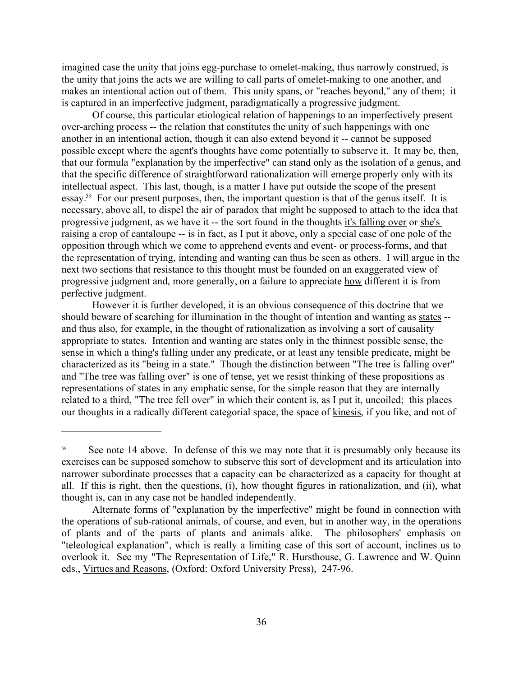imagined case the unity that joins egg-purchase to omelet-making, thus narrowly construed, is the unity that joins the acts we are willing to call parts of omelet-making to one another, and makes an intentional action out of them. This unity spans, or "reaches beyond," any of them; it is captured in an imperfective judgment, paradigmatically a progressive judgment.

Of course, this particular etiological relation of happenings to an imperfectively present over-arching process -- the relation that constitutes the unity of such happenings with one another in an intentional action, though it can also extend beyond it -- cannot be supposed possible except where the agent's thoughts have come potentially to subserve it. It may be, then, that our formula "explanation by the imperfective" can stand only as the isolation of a genus, and that the specific difference of straightforward rationalization will emerge properly only with its intellectual aspect. This last, though, is a matter I have put outside the scope of the present essay.[59](#page-35-0) For our present purposes, then, the important question is that of the genus itself. It is necessary, above all, to dispel the air of paradox that might be supposed to attach to the idea that progressive judgment, as we have it -- the sort found in the thoughts it's falling over or she's raising a crop of cantaloupe -- is in fact, as I put it above, only a special case of one pole of the opposition through which we come to apprehend events and event- or process-forms, and that the representation of trying, intending and wanting can thus be seen as others. I will argue in the next two sections that resistance to this thought must be founded on an exaggerated view of progressive judgment and, more generally, on a failure to appreciate how different it is from perfective judgment.

However it is further developed, it is an obvious consequence of this doctrine that we should beware of searching for illumination in the thought of intention and wanting as states - and thus also, for example, in the thought of rationalization as involving a sort of causality appropriate to states. Intention and wanting are states only in the thinnest possible sense, the sense in which a thing's falling under any predicate, or at least any tensible predicate, might be characterized as its "being in a state." Though the distinction between "The tree is falling over" and "The tree was falling over" is one of tense, yet we resist thinking of these propositions as representations of states in any emphatic sense, for the simple reason that they are internally related to a third, "The tree fell over" in which their content is, as I put it, uncoiled; this places our thoughts in a radically different categorial space, the space of kinesis, if you like, and not of

<span id="page-35-0"></span><sup>&</sup>lt;sup>59</sup> See note 14 above. In defense of this we may note that it is presumably only because its exercises can be supposed somehow to subserve this sort of development and its articulation into narrower subordinate processes that a capacity can be characterized as a capacity for thought at all. If this is right, then the questions, (i), how thought figures in rationalization, and (ii), what thought is, can in any case not be handled independently.

Alternate forms of "explanation by the imperfective" might be found in connection with the operations of sub-rational animals, of course, and even, but in another way, in the operations of plants and of the parts of plants and animals alike. The philosophers' emphasis on "teleological explanation", which is really a limiting case of this sort of account, inclines us to overlook it. See my "The Representation of Life," R. Hursthouse, G. Lawrence and W. Quinn eds., Virtues and Reasons, (Oxford: Oxford University Press), 247-96.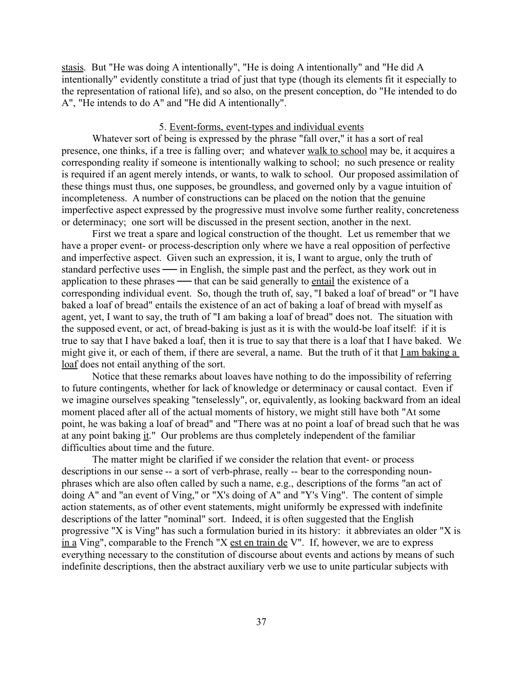stasis. But "He was doing A intentionally", "He is doing A intentionally" and "He did A intentionally" evidently constitute a triad of just that type (though its elements fit it especially to the representation of rational life), and so also, on the present conception, do "He intended to do A", "He intends to do A" and "He did A intentionally".

#### 5. Event-forms, event-types and individual events

Whatever sort of being is expressed by the phrase "fall over," it has a sort of real presence, one thinks, if a tree is falling over; and whatever walk to school may be, it acquires a corresponding reality if someone is intentionally walking to school; no such presence or reality is required if an agent merely intends, or wants, to walk to school. Our proposed assimilation of these things must thus, one supposes, be groundless, and governed only by a vague intuition of incompleteness. A number of constructions can be placed on the notion that the genuine imperfective aspect expressed by the progressive must involve some further reality, concreteness or determinacy; one sort will be discussed in the present section, another in the next.

First we treat a spare and logical construction of the thought. Let us remember that we have a proper event- or process-description only where we have a real opposition of perfective and imperfective aspect. Given such an expression, it is, I want to argue, only the truth of standard perfective uses — in English, the simple past and the perfect, as they work out in application to these phrases — that can be said generally to entail the existence of a corresponding individual event. So, though the truth of, say, "I baked a loaf of bread" or "I have baked a loaf of bread" entails the existence of an act of baking a loaf of bread with myself as agent, yet, I want to say, the truth of "I am baking a loaf of bread" does not. The situation with the supposed event, or act, of bread-baking is just as it is with the would-be loaf itself: if it is true to say that I have baked a loaf, then it is true to say that there is a loaf that I have baked. We might give it, or each of them, if there are several, a name. But the truth of it that  $I$  am baking a loaf does not entail anything of the sort.

Notice that these remarks about loaves have nothing to do the impossibility of referring to future contingents, whether for lack of knowledge or determinacy or causal contact. Even if we imagine ourselves speaking "tenselessly", or, equivalently, as looking backward from an ideal moment placed after all of the actual moments of history, we might still have both "At some point, he was baking a loaf of bread" and "There was at no point a loaf of bread such that he was at any point baking  $\underline{\text{it}}$ ." Our problems are thus completely independent of the familiar difficulties about time and the future.

The matter might be clarified if we consider the relation that event- or process descriptions in our sense -- a sort of verb-phrase, really -- bear to the corresponding nounphrases which are also often called by such a name, e.g., descriptions of the forms "an act of doing A" and "an event of Ving," or "X's doing of A" and "Y's Ving". The content of simple action statements, as of other event statements, might uniformly be expressed with indefinite descriptions of the latter "nominal" sort. Indeed, it is often suggested that the English progressive "X is Ving" has such a formulation buried in its history: it abbreviates an older "X is in a Ving", comparable to the French "X est en train de V". If, however, we are to express everything necessary to the constitution of discourse about events and actions by means of such indefinite descriptions, then the abstract auxiliary verb we use to unite particular subjects with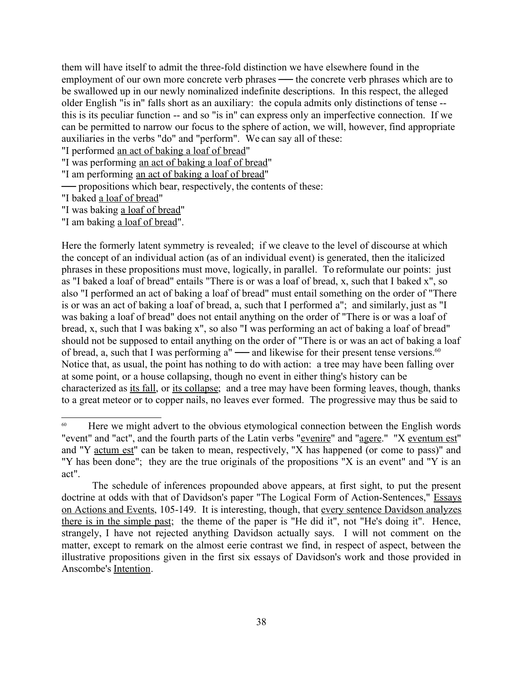them will have itself to admit the three-fold distinction we have elsewhere found in the employment of our own more concrete verb phrases — the concrete verb phrases which are to be swallowed up in our newly nominalized indefinite descriptions. In this respect, the alleged older English "is in" falls short as an auxiliary: the copula admits only distinctions of tense - this is its peculiar function -- and so "is in" can express only an imperfective connection. If we can be permitted to narrow our focus to the sphere of action, we will, however, find appropriate auxiliaries in the verbs "do" and "perform". We can say all of these:

"I performed an act of baking a loaf of bread"

"I was performing an act of baking a loaf of bread"

"I am performing an act of baking a loaf of bread"

── propositions which bear, respectively, the contents of these:

"I baked a loaf of bread"

"I was baking a loaf of bread"

"I am baking a loaf of bread".

Here the formerly latent symmetry is revealed; if we cleave to the level of discourse at which the concept of an individual action (as of an individual event) is generated, then the italicized phrases in these propositions must move, logically, in parallel. To reformulate our points: just as "I baked a loaf of bread" entails "There is or was a loaf of bread, x, such that I baked x", so also "I performed an act of baking a loaf of bread" must entail something on the order of "There is or was an act of baking a loaf of bread, a, such that I performed a"; and similarly, just as "I was baking a loaf of bread" does not entail anything on the order of "There is or was a loaf of bread, x, such that I was baking x", so also "I was performing an act of baking a loaf of bread" should not be supposed to entail anything on the order of "There is or was an act of baking a loaf of bread, a, such that I was performing a" — and likewise for their present tense versions.<sup>[60](#page-37-0)</sup> Notice that, as usual, the point has nothing to do with action: a tree may have been falling over at some point, or a house collapsing, though no event in either thing's history can be characterized as its fall, or its collapse; and a tree may have been forming leaves, though, thanks to a great meteor or to copper nails, no leaves ever formed. The progressive may thus be said to

<span id="page-37-0"></span><sup>&</sup>lt;sup>60</sup> Here we might advert to the obvious etymological connection between the English words "event" and "act", and the fourth parts of the Latin verbs "evenire" and "agere." "X eventum est" and "Y actum est" can be taken to mean, respectively, "X has happened (or come to pass)" and "Y has been done"; they are the true originals of the propositions "X is an event" and "Y is an act".

The schedule of inferences propounded above appears, at first sight, to put the present doctrine at odds with that of Davidson's paper "The Logical Form of Action-Sentences," Essays on Actions and Events, 105-149. It is interesting, though, that every sentence Davidson analyzes there is in the simple past; the theme of the paper is "He did it", not "He's doing it". Hence, strangely, I have not rejected anything Davidson actually says. I will not comment on the matter, except to remark on the almost eerie contrast we find, in respect of aspect, between the illustrative propositions given in the first six essays of Davidson's work and those provided in Anscombe's Intention.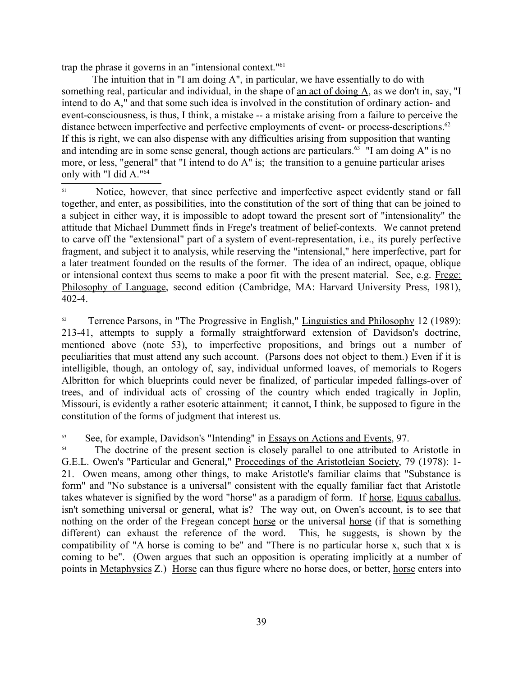trap the phrase it governs in an "intensional context."[61](#page-38-0)

The intuition that in "I am doing A", in particular, we have essentially to do with something real, particular and individual, in the shape of an act of doing A, as we don't in, say, "I intend to do A," and that some such idea is involved in the constitution of ordinary action- and event-consciousness, is thus, I think, a mistake -- a mistake arising from a failure to perceive the distance between imperfective and perfective employments of event- or process-descriptions.<sup>[62](#page-38-1)</sup> If this is right, we can also dispense with any difficulties arising from supposition that wanting and intending are in some sense general, though actions are particulars.<sup>[63](#page-38-2)</sup> "I am doing A" is no more, or less, "general" that "I intend to do A" is; the transition to a genuine particular arises only with "I did A."[64](#page-38-3)

<span id="page-38-0"></span><sup>61</sup> Notice, however, that since perfective and imperfective aspect evidently stand or fall together, and enter, as possibilities, into the constitution of the sort of thing that can be joined to a subject in either way, it is impossible to adopt toward the present sort of "intensionality" the attitude that Michael Dummett finds in Frege's treatment of belief-contexts. We cannot pretend to carve off the "extensional" part of a system of event-representation, i.e., its purely perfective fragment, and subject it to analysis, while reserving the "intensional," here imperfective, part for a later treatment founded on the results of the former. The idea of an indirect, opaque, oblique or intensional context thus seems to make a poor fit with the present material. See, e.g. Frege: Philosophy of Language, second edition (Cambridge, MA: Harvard University Press, 1981), 402-4.

<span id="page-38-1"></span><sup>62</sup> Terrence Parsons, in "The Progressive in English," **Linguistics and Philosophy 12** (1989): 213-41, attempts to supply a formally straightforward extension of Davidson's doctrine, mentioned above (note 53), to imperfective propositions, and brings out a number of peculiarities that must attend any such account. (Parsons does not object to them.) Even if it is intelligible, though, an ontology of, say, individual unformed loaves, of memorials to Rogers Albritton for which blueprints could never be finalized, of particular impeded fallings-over of trees, and of individual acts of crossing of the country which ended tragically in Joplin, Missouri, is evidently a rather esoteric attainment; it cannot, I think, be supposed to figure in the constitution of the forms of judgment that interest us.

<span id="page-38-2"></span><sup>63</sup> See, for example, Davidson's "Intending" in Essays on Actions and Events, 97.

<span id="page-38-3"></span><sup>64</sup> The doctrine of the present section is closely parallel to one attributed to Aristotle in G.E.L. Owen's "Particular and General," Proceedings of the Aristotleian Society, 79 (1978): 1- 21. Owen means, among other things, to make Aristotle's familiar claims that "Substance is form" and "No substance is a universal" consistent with the equally familiar fact that Aristotle takes whatever is signified by the word "horse" as a paradigm of form. If horse, Equus caballus, isn't something universal or general, what is? The way out, on Owen's account, is to see that nothing on the order of the Fregean concept horse or the universal horse (if that is something different) can exhaust the reference of the word. This, he suggests, is shown by the compatibility of "A horse is coming to be" and "There is no particular horse x, such that x is coming to be". (Owen argues that such an opposition is operating implicitly at a number of points in Metaphysics Z.) Horse can thus figure where no horse does, or better, horse enters into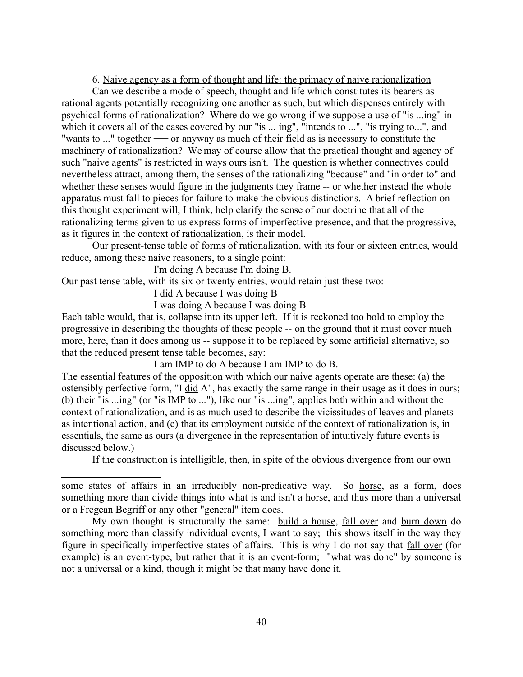6. Naive agency as a form of thought and life: the primacy of naive rationalization

Can we describe a mode of speech, thought and life which constitutes its bearers as rational agents potentially recognizing one another as such, but which dispenses entirely with psychical forms of rationalization? Where do we go wrong if we suppose a use of "is ...ing" in which it covers all of the cases covered by <u>our</u> "is ... ing", "intends to ...", "is trying to...", and "wants to ..." together — or anyway as much of their field as is necessary to constitute the machinery of rationalization? We may of course allow that the practical thought and agency of such "naive agents" is restricted in ways ours isn't. The question is whether connectives could nevertheless attract, among them, the senses of the rationalizing "because" and "in order to" and whether these senses would figure in the judgments they frame -- or whether instead the whole apparatus must fall to pieces for failure to make the obvious distinctions. A brief reflection on this thought experiment will, I think, help clarify the sense of our doctrine that all of the rationalizing terms given to us express forms of imperfective presence, and that the progressive, as it figures in the context of rationalization, is their model.

Our present-tense table of forms of rationalization, with its four or sixteen entries, would reduce, among these naive reasoners, to a single point:

I'm doing A because I'm doing B.

Our past tense table, with its six or twenty entries, would retain just these two:

I did A because I was doing B

I was doing A because I was doing B

Each table would, that is, collapse into its upper left. If it is reckoned too bold to employ the progressive in describing the thoughts of these people -- on the ground that it must cover much more, here, than it does among us -- suppose it to be replaced by some artificial alternative, so that the reduced present tense table becomes, say:

I am IMP to do A because I am IMP to do B.

The essential features of the opposition with which our naive agents operate are these: (a) the ostensibly perfective form, "I did A", has exactly the same range in their usage as it does in ours; (b) their "is ...ing" (or "is IMP to ..."), like our "is ...ing", applies both within and without the context of rationalization, and is as much used to describe the vicissitudes of leaves and planets as intentional action, and (c) that its employment outside of the context of rationalization is, in essentials, the same as ours (a divergence in the representation of intuitively future events is discussed below.)

If the construction is intelligible, then, in spite of the obvious divergence from our own

some states of affairs in an irreducibly non-predicative way. So horse, as a form, does something more than divide things into what is and isn't a horse, and thus more than a universal or a Fregean Begriff or any other "general" item does.

My own thought is structurally the same: build a house, fall over and burn down do something more than classify individual events, I want to say; this shows itself in the way they figure in specifically imperfective states of affairs. This is why I do not say that fall over (for example) is an event-type, but rather that it is an event-form; "what was done" by someone is not a universal or a kind, though it might be that many have done it.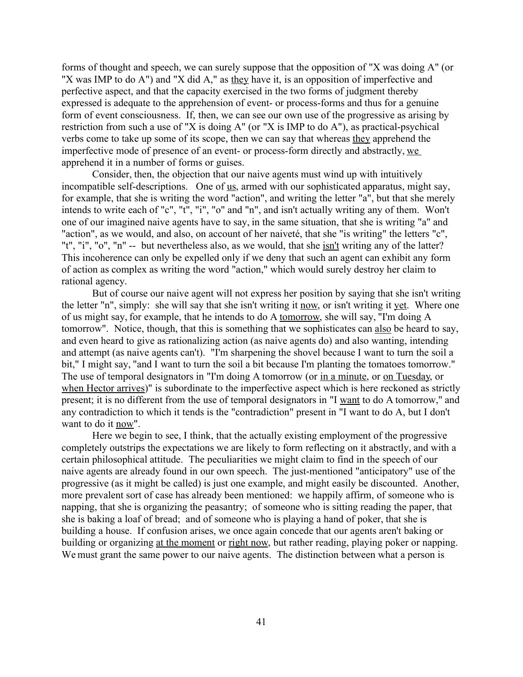forms of thought and speech, we can surely suppose that the opposition of "X was doing A" (or "X was IMP to do A") and "X did A," as they have it, is an opposition of imperfective and perfective aspect, and that the capacity exercised in the two forms of judgment thereby expressed is adequate to the apprehension of event- or process-forms and thus for a genuine form of event consciousness. If, then, we can see our own use of the progressive as arising by restriction from such a use of "X is doing A" (or "X is IMP to do A"), as practical-psychical verbs come to take up some of its scope, then we can say that whereas they apprehend the imperfective mode of presence of an event- or process-form directly and abstractly, we apprehend it in a number of forms or guises.

Consider, then, the objection that our naive agents must wind up with intuitively incompatible self-descriptions. One of us, armed with our sophisticated apparatus, might say, for example, that she is writing the word "action", and writing the letter "a", but that she merely intends to write each of "c", "t", "i", "o" and "n", and isn't actually writing any of them. Won't one of our imagined naive agents have to say, in the same situation, that she is writing "a" and "action", as we would, and also, on account of her naiveté, that she "is writing" the letters "c", "t", "i", "o", "n" -- but nevertheless also, as we would, that she isn't writing any of the latter? This incoherence can only be expelled only if we deny that such an agent can exhibit any form of action as complex as writing the word "action," which would surely destroy her claim to rational agency.

But of course our naive agent will not express her position by saying that she isn't writing the letter "n", simply: she will say that she isn't writing it now, or isn't writing it yet. Where one of us might say, for example, that he intends to do A tomorrow, she will say, "I'm doing A tomorrow". Notice, though, that this is something that we sophisticates can also be heard to say, and even heard to give as rationalizing action (as naive agents do) and also wanting, intending and attempt (as naive agents can't). "I'm sharpening the shovel because I want to turn the soil a bit," I might say, "and I want to turn the soil a bit because I'm planting the tomatoes tomorrow." The use of temporal designators in "I'm doing A tomorrow (or in a minute, or on Tuesday, or when Hector arrives)" is subordinate to the imperfective aspect which is here reckoned as strictly present; it is no different from the use of temporal designators in "I want to do A tomorrow," and any contradiction to which it tends is the "contradiction" present in "I want to do A, but I don't want to do it now".

Here we begin to see, I think, that the actually existing employment of the progressive completely outstrips the expectations we are likely to form reflecting on it abstractly, and with a certain philosophical attitude. The peculiarities we might claim to find in the speech of our naive agents are already found in our own speech. The just-mentioned "anticipatory" use of the progressive (as it might be called) is just one example, and might easily be discounted. Another, more prevalent sort of case has already been mentioned: we happily affirm, of someone who is napping, that she is organizing the peasantry; of someone who is sitting reading the paper, that she is baking a loaf of bread; and of someone who is playing a hand of poker, that she is building a house. If confusion arises, we once again concede that our agents aren't baking or building or organizing at the moment or right now, but rather reading, playing poker or napping. We must grant the same power to our naive agents. The distinction between what a person is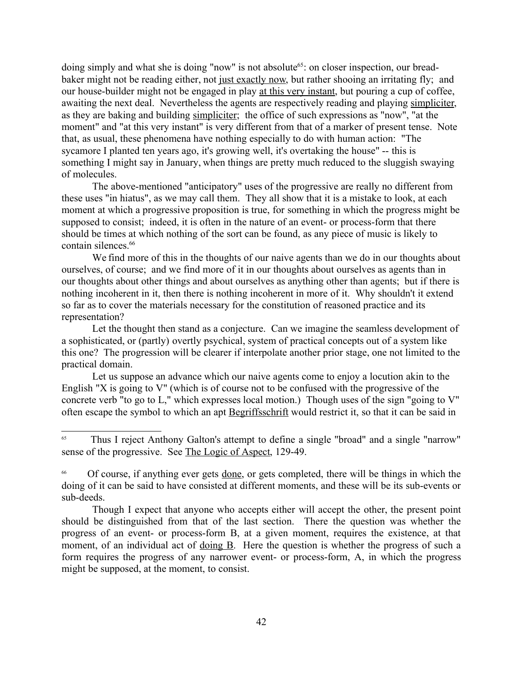doing simply and what she is doing "now" is not absolute<sup>[65](#page-41-0)</sup>: on closer inspection, our breadbaker might not be reading either, not just exactly now, but rather shooing an irritating fly; and our house-builder might not be engaged in play at this very instant, but pouring a cup of coffee, awaiting the next deal. Nevertheless the agents are respectively reading and playing simpliciter, as they are baking and building simpliciter; the office of such expressions as "now", "at the moment" and "at this very instant" is very different from that of a marker of present tense. Note that, as usual, these phenomena have nothing especially to do with human action: "The sycamore I planted ten years ago, it's growing well, it's overtaking the house" -- this is something I might say in January, when things are pretty much reduced to the sluggish swaying of molecules.

The above-mentioned "anticipatory" uses of the progressive are really no different from these uses "in hiatus", as we may call them. They all show that it is a mistake to look, at each moment at which a progressive proposition is true, for something in which the progress might be supposed to consist; indeed, it is often in the nature of an event- or process-form that there should be times at which nothing of the sort can be found, as any piece of music is likely to contain silences.<sup>[66](#page-41-1)</sup>

We find more of this in the thoughts of our naive agents than we do in our thoughts about ourselves, of course; and we find more of it in our thoughts about ourselves as agents than in our thoughts about other things and about ourselves as anything other than agents; but if there is nothing incoherent in it, then there is nothing incoherent in more of it. Why shouldn't it extend so far as to cover the materials necessary for the constitution of reasoned practice and its representation?

Let the thought then stand as a conjecture. Can we imagine the seamless development of a sophisticated, or (partly) overtly psychical, system of practical concepts out of a system like this one? The progression will be clearer if interpolate another prior stage, one not limited to the practical domain.

Let us suppose an advance which our naive agents come to enjoy a locution akin to the English "X is going to V" (which is of course not to be confused with the progressive of the concrete verb "to go to L," which expresses local motion.) Though uses of the sign "going to V" often escape the symbol to which an apt Begriffsschrift would restrict it, so that it can be said in

Though I expect that anyone who accepts either will accept the other, the present point should be distinguished from that of the last section. There the question was whether the progress of an event- or process-form B, at a given moment, requires the existence, at that moment, of an individual act of <u>doing B</u>. Here the question is whether the progress of such a form requires the progress of any narrower event- or process-form, A, in which the progress might be supposed, at the moment, to consist.

<span id="page-41-0"></span><sup>65</sup> Thus I reject Anthony Galton's attempt to define a single "broad" and a single "narrow" sense of the progressive. See The Logic of Aspect, 129-49.

<span id="page-41-1"></span><sup>&</sup>lt;sup>66</sup> Of course, if anything ever gets <u>done</u>, or gets completed, there will be things in which the doing of it can be said to have consisted at different moments, and these will be its sub-events or sub-deeds.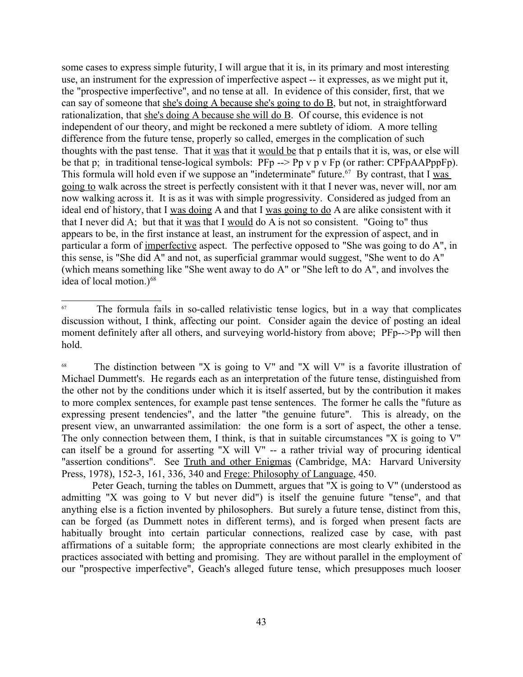some cases to express simple futurity, I will argue that it is, in its primary and most interesting use, an instrument for the expression of imperfective aspect -- it expresses, as we might put it, the "prospective imperfective", and no tense at all. In evidence of this consider, first, that we can say of someone that she's doing A because she's going to do B, but not, in straightforward rationalization, that she's doing A because she will do B. Of course, this evidence is not independent of our theory, and might be reckoned a mere subtlety of idiom. A more telling difference from the future tense, properly so called, emerges in the complication of such thoughts with the past tense. That it was that it would be that p entails that it is, was, or else will be that p; in traditional tense-logical symbols: PFp --> Pp v p v Fp (or rather: CPFpAAPppFp). This formula will hold even if we suppose an "indeterminate" future.<sup>[67](#page-42-0)</sup> By contrast, that I was going to walk across the street is perfectly consistent with it that I never was, never will, nor am now walking across it. It is as it was with simple progressivity. Considered as judged from an ideal end of history, that I was doing A and that I was going to do A are alike consistent with it that I never did A; but that it was that I would do A is not so consistent. "Going to" thus appears to be, in the first instance at least, an instrument for the expression of aspect, and in particular a form of imperfective aspect. The perfective opposed to "She was going to do A", in this sense, is "She did A" and not, as superficial grammar would suggest, "She went to do A" (which means something like "She went away to do A" or "She left to do A", and involves the idea of local motion.)<sup>[68](#page-42-1)</sup>

<span id="page-42-1"></span>The distinction between "X is going to V" and "X will V" is a favorite illustration of Michael Dummett's. He regards each as an interpretation of the future tense, distinguished from the other not by the conditions under which it is itself asserted, but by the contribution it makes to more complex sentences, for example past tense sentences. The former he calls the "future as expressing present tendencies", and the latter "the genuine future". This is already, on the present view, an unwarranted assimilation: the one form is a sort of aspect, the other a tense. The only connection between them, I think, is that in suitable circumstances "X is going to V" can itself be a ground for asserting "X will V" -- a rather trivial way of procuring identical "assertion conditions". See Truth and other Enigmas (Cambridge, MA: Harvard University Press, 1978), 152-3, 161, 336, 340 and Frege: Philosophy of Language, 450.

Peter Geach, turning the tables on Dummett, argues that "X is going to V" (understood as admitting "X was going to V but never did") is itself the genuine future "tense", and that anything else is a fiction invented by philosophers. But surely a future tense, distinct from this, can be forged (as Dummett notes in different terms), and is forged when present facts are habitually brought into certain particular connections, realized case by case, with past affirmations of a suitable form; the appropriate connections are most clearly exhibited in the practices associated with betting and promising. They are without parallel in the employment of our "prospective imperfective", Geach's alleged future tense, which presupposes much looser

<span id="page-42-0"></span><sup>67</sup> The formula fails in so-called relativistic tense logics, but in a way that complicates discussion without, I think, affecting our point. Consider again the device of posting an ideal moment definitely after all others, and surveying world-history from above; PFp-->Pp will then hold.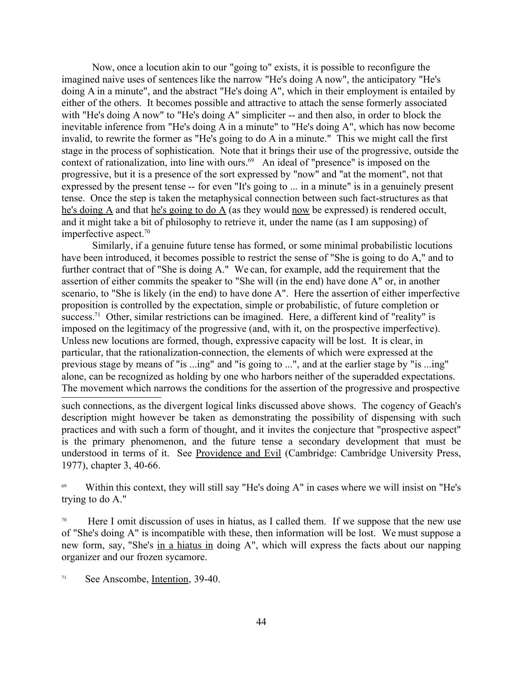Now, once a locution akin to our "going to" exists, it is possible to reconfigure the imagined naive uses of sentences like the narrow "He's doing A now", the anticipatory "He's doing A in a minute", and the abstract "He's doing A", which in their employment is entailed by either of the others. It becomes possible and attractive to attach the sense formerly associated with "He's doing A now" to "He's doing A" simpliciter -- and then also, in order to block the inevitable inference from "He's doing A in a minute" to "He's doing A", which has now become invalid, to rewrite the former as "He's going to do A in a minute." This we might call the first stage in the process of sophistication. Note that it brings their use of the progressive, outside the context of rationalization, into line with ours.<sup>[69](#page-43-0)</sup> An ideal of "presence" is imposed on the progressive, but it is a presence of the sort expressed by "now" and "at the moment", not that expressed by the present tense -- for even "It's going to ... in a minute" is in a genuinely present tense. Once the step is taken the metaphysical connection between such fact-structures as that he's doing A and that he's going to do A (as they would now be expressed) is rendered occult, and it might take a bit of philosophy to retrieve it, under the name (as I am supposing) of imperfective aspect.[70](#page-43-1)

Similarly, if a genuine future tense has formed, or some minimal probabilistic locutions have been introduced, it becomes possible to restrict the sense of "She is going to do A," and to further contract that of "She is doing A." We can, for example, add the requirement that the assertion of either commits the speaker to "She will (in the end) have done A" or, in another scenario, to "She is likely (in the end) to have done A". Here the assertion of either imperfective proposition is controlled by the expectation, simple or probabilistic, of future completion or success.<sup>[71](#page-43-2)</sup> Other, similar restrictions can be imagined. Here, a different kind of "reality" is imposed on the legitimacy of the progressive (and, with it, on the prospective imperfective). Unless new locutions are formed, though, expressive capacity will be lost. It is clear, in particular, that the rationalization-connection, the elements of which were expressed at the previous stage by means of "is ...ing" and "is going to ...", and at the earlier stage by "is ...ing" alone, can be recognized as holding by one who harbors neither of the superadded expectations. The movement which narrows the conditions for the assertion of the progressive and prospective

such connections, as the divergent logical links discussed above shows. The cogency of Geach's description might however be taken as demonstrating the possibility of dispensing with such practices and with such a form of thought, and it invites the conjecture that "prospective aspect" is the primary phenomenon, and the future tense a secondary development that must be understood in terms of it. See Providence and Evil (Cambridge: Cambridge University Press, 1977), chapter 3, 40-66.

<span id="page-43-0"></span>Within this context, they will still say "He's doing A" in cases where we will insist on "He's trying to do A."

<span id="page-43-1"></span>Here I omit discussion of uses in hiatus, as I called them. If we suppose that the new use of "She's doing A" is incompatible with these, then information will be lost. We must suppose a new form, say, "She's in a hiatus in doing A", which will express the facts about our napping organizer and our frozen sycamore.

<span id="page-43-2"></span><sup>71</sup> See Anscombe, Intention, 39-40.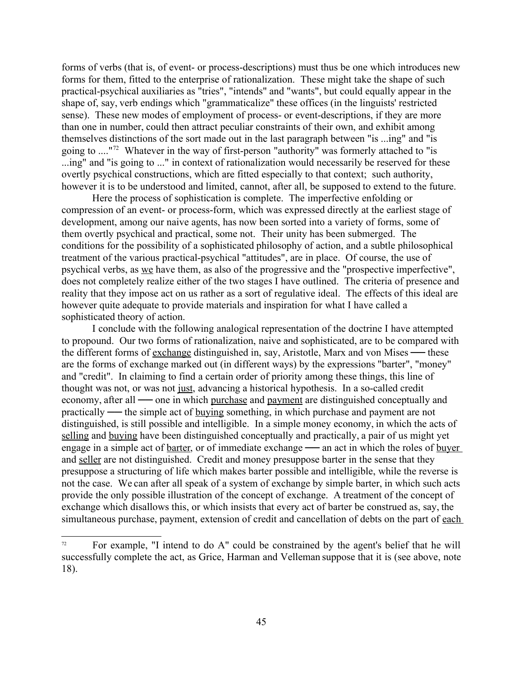forms of verbs (that is, of event- or process-descriptions) must thus be one which introduces new forms for them, fitted to the enterprise of rationalization. These might take the shape of such practical-psychical auxiliaries as "tries", "intends" and "wants", but could equally appear in the shape of, say, verb endings which "grammaticalize" these offices (in the linguists' restricted sense). These new modes of employment of process- or event-descriptions, if they are more than one in number, could then attract peculiar constraints of their own, and exhibit among themselves distinctions of the sort made out in the last paragraph between "is ...ing" and "is going to ...."[72](#page-44-0) Whatever in the way of first-person "authority" was formerly attached to "is ...ing" and "is going to ..." in context of rationalization would necessarily be reserved for these overtly psychical constructions, which are fitted especially to that context; such authority, however it is to be understood and limited, cannot, after all, be supposed to extend to the future.

Here the process of sophistication is complete. The imperfective enfolding or compression of an event- or process-form, which was expressed directly at the earliest stage of development, among our naive agents, has now been sorted into a variety of forms, some of them overtly psychical and practical, some not. Their unity has been submerged. The conditions for the possibility of a sophisticated philosophy of action, and a subtle philosophical treatment of the various practical-psychical "attitudes", are in place. Of course, the use of psychical verbs, as we have them, as also of the progressive and the "prospective imperfective", does not completely realize either of the two stages I have outlined. The criteria of presence and reality that they impose act on us rather as a sort of regulative ideal. The effects of this ideal are however quite adequate to provide materials and inspiration for what I have called a sophisticated theory of action.

I conclude with the following analogical representation of the doctrine I have attempted to propound. Our two forms of rationalization, naive and sophisticated, are to be compared with the different forms of <u>exchange</u> distinguished in, say, Aristotle, Marx and von Mises — these are the forms of exchange marked out (in different ways) by the expressions "barter", "money" and "credit". In claiming to find a certain order of priority among these things, this line of thought was not, or was not just, advancing a historical hypothesis. In a so-called credit economy, after all — one in which purchase and payment are distinguished conceptually and practically ── the simple act of buying something, in which purchase and payment are not distinguished, is still possible and intelligible. In a simple money economy, in which the acts of selling and buying have been distinguished conceptually and practically, a pair of us might yet engage in a simple act of <u>barter</u>, or of immediate exchange — an act in which the roles of <u>buyer</u> and seller are not distinguished. Credit and money presuppose barter in the sense that they presuppose a structuring of life which makes barter possible and intelligible, while the reverse is not the case. We can after all speak of a system of exchange by simple barter, in which such acts provide the only possible illustration of the concept of exchange. A treatment of the concept of exchange which disallows this, or which insists that every act of barter be construed as, say, the simultaneous purchase, payment, extension of credit and cancellation of debts on the part of each

<span id="page-44-0"></span> $\frac{72}{2}$  For example, "I intend to do A" could be constrained by the agent's belief that he will successfully complete the act, as Grice, Harman and Velleman suppose that it is (see above, note 18).